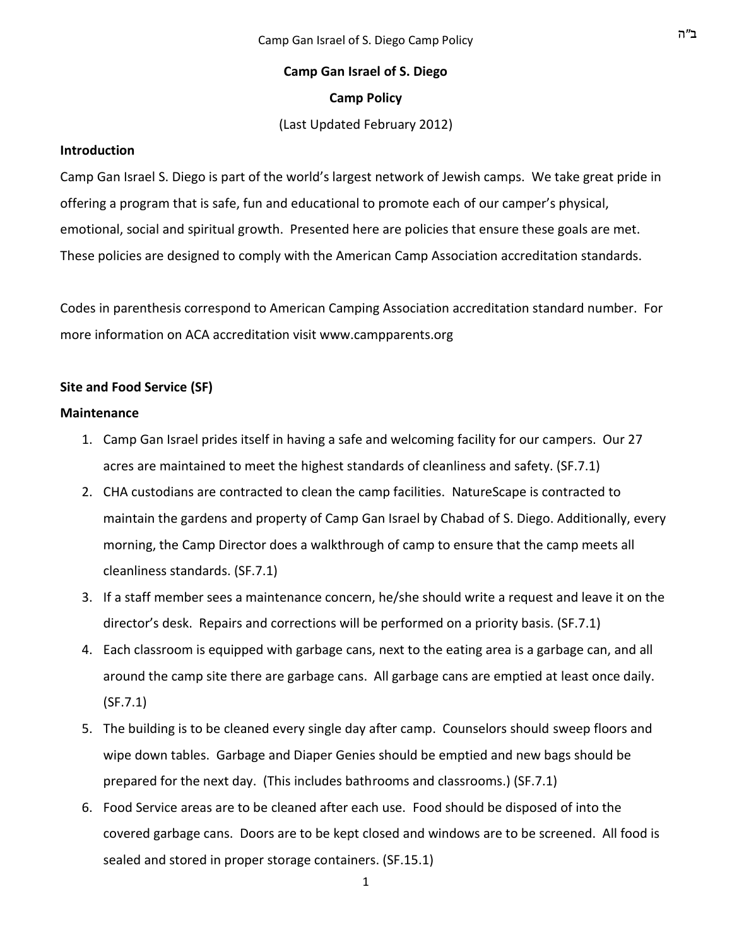# **Camp Gan Israel of S. Diego Camp Policy**

(Last Updated February 2012)

#### **Introduction**

Camp Gan Israel S. Diego is part of the world's largest network of Jewish camps. We take great pride in offering a program that is safe, fun and educational to promote each of our camper's physical, emotional, social and spiritual growth. Presented here are policies that ensure these goals are met. These policies are designed to comply with the American Camp Association accreditation standards.

Codes in parenthesis correspond to American Camping Association accreditation standard number. For more information on ACA accreditation visit www.campparents.org

## **Site and Food Service (SF)**

#### **Maintenance**

- 1. Camp Gan Israel prides itself in having a safe and welcoming facility for our campers. Our 27 acres are maintained to meet the highest standards of cleanliness and safety. (SF.7.1)
- 2. CHA custodians are contracted to clean the camp facilities. NatureScape is contracted to maintain the gardens and property of Camp Gan Israel by Chabad of S. Diego. Additionally, every morning, the Camp Director does a walkthrough of camp to ensure that the camp meets all cleanliness standards. (SF.7.1)
- 3. If a staff member sees a maintenance concern, he/she should write a request and leave it on the director's desk. Repairs and corrections will be performed on a priority basis. (SF.7.1)
- 4. Each classroom is equipped with garbage cans, next to the eating area is a garbage can, and all around the camp site there are garbage cans. All garbage cans are emptied at least once daily. (SF.7.1)
- 5. The building is to be cleaned every single day after camp. Counselors should sweep floors and wipe down tables. Garbage and Diaper Genies should be emptied and new bags should be prepared for the next day. (This includes bathrooms and classrooms.) (SF.7.1)
- 6. Food Service areas are to be cleaned after each use. Food should be disposed of into the covered garbage cans. Doors are to be kept closed and windows are to be screened. All food is sealed and stored in proper storage containers. (SF.15.1)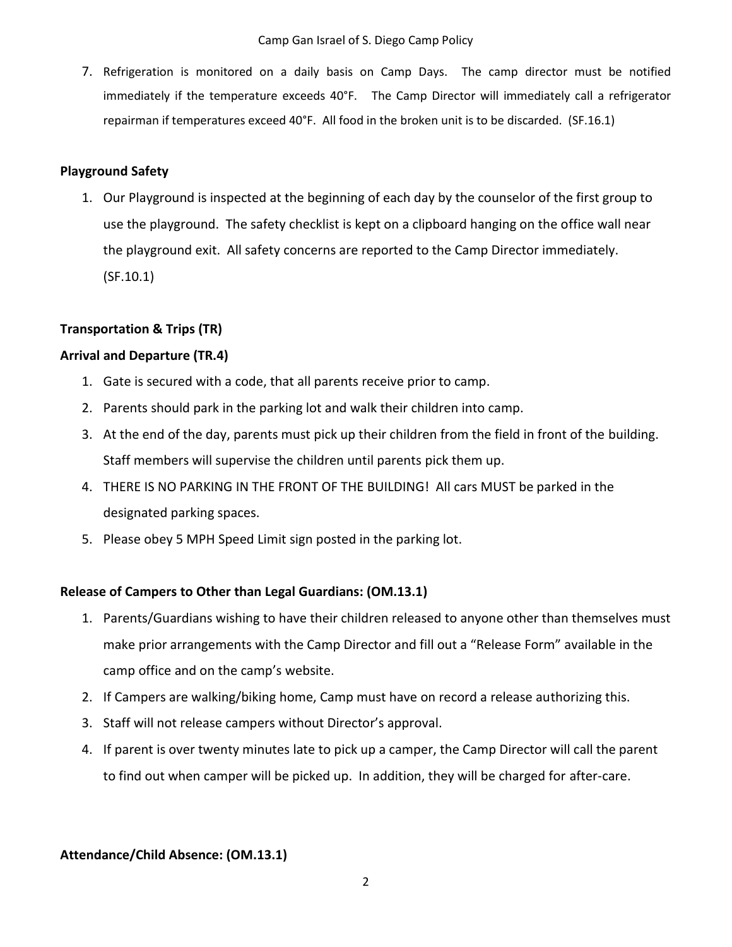7. Refrigeration is monitored on a daily basis on Camp Days. The camp director must be notified immediately if the temperature exceeds 40°F. The Camp Director will immediately call a refrigerator repairman if temperatures exceed 40°F. All food in the broken unit is to be discarded. (SF.16.1)

# **Playground Safety**

1. Our Playground is inspected at the beginning of each day by the counselor of the first group to use the playground. The safety checklist is kept on a clipboard hanging on the office wall near the playground exit. All safety concerns are reported to the Camp Director immediately. (SF.10.1)

# **Transportation & Trips (TR)**

# **Arrival and Departure (TR.4)**

- 1. Gate is secured with a code, that all parents receive prior to camp.
- 2. Parents should park in the parking lot and walk their children into camp.
- 3. At the end of the day, parents must pick up their children from the field in front of the building. Staff members will supervise the children until parents pick them up.
- 4. THERE IS NO PARKING IN THE FRONT OF THE BUILDING! All cars MUST be parked in the designated parking spaces.
- 5. Please obey 5 MPH Speed Limit sign posted in the parking lot.

# **Release of Campers to Other than Legal Guardians: (OM.13.1)**

- 1. Parents/Guardians wishing to have their children released to anyone other than themselves must make prior arrangements with the Camp Director and fill out a "Release Form" available in the camp office and on the camp's website.
- 2. If Campers are walking/biking home, Camp must have on record a release authorizing this.
- 3. Staff will not release campers without Director's approval.
- 4. If parent is over twenty minutes late to pick up a camper, the Camp Director will call the parent to find out when camper will be picked up. In addition, they will be charged for after-care.

# **Attendance/Child Absence: (OM.13.1)**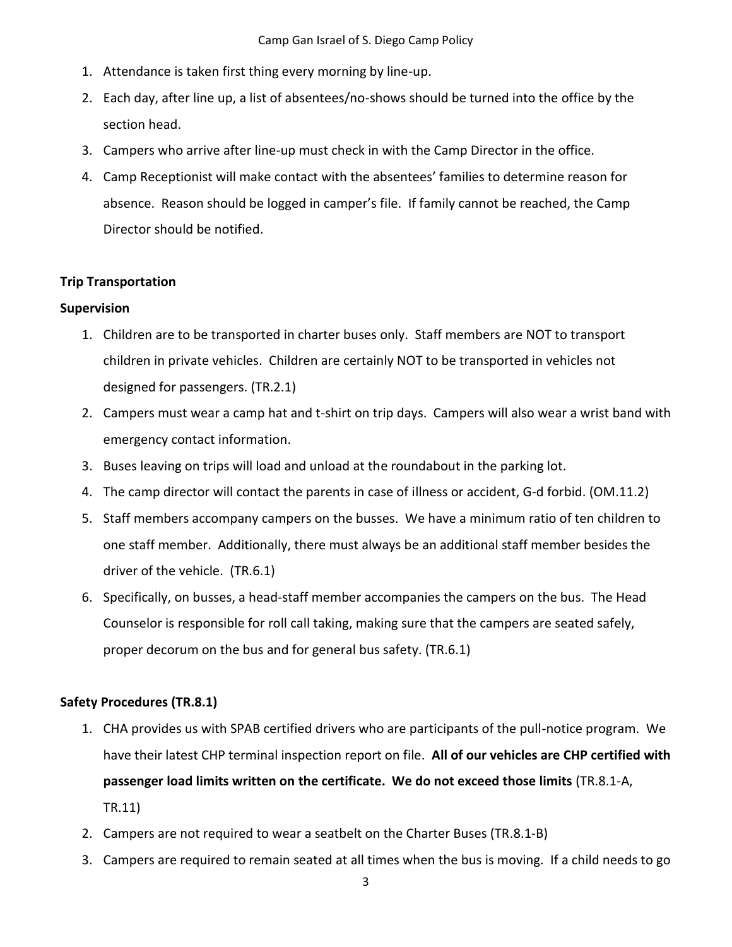- 1. Attendance is taken first thing every morning by line-up.
- 2. Each day, after line up, a list of absentees/no-shows should be turned into the office by the section head.
- 3. Campers who arrive after line-up must check in with the Camp Director in the office.
- 4. Camp Receptionist will make contact with the absentees' families to determine reason for absence. Reason should be logged in camper's file. If family cannot be reached, the Camp Director should be notified.

## **Trip Transportation**

## **Supervision**

- 1. Children are to be transported in charter buses only. Staff members are NOT to transport children in private vehicles. Children are certainly NOT to be transported in vehicles not designed for passengers. (TR.2.1)
- 2. Campers must wear a camp hat and t-shirt on trip days. Campers will also wear a wrist band with emergency contact information.
- 3. Buses leaving on trips will load and unload at the roundabout in the parking lot.
- 4. The camp director will contact the parents in case of illness or accident, G-d forbid. (OM.11.2)
- 5. Staff members accompany campers on the busses. We have a minimum ratio of ten children to one staff member. Additionally, there must always be an additional staff member besides the driver of the vehicle. (TR.6.1)
- 6. Specifically, on busses, a head-staff member accompanies the campers on the bus. The Head Counselor is responsible for roll call taking, making sure that the campers are seated safely, proper decorum on the bus and for general bus safety. (TR.6.1)

# **Safety Procedures (TR.8.1)**

- 1. CHA provides us with SPAB certified drivers who are participants of the pull-notice program. We have their latest CHP terminal inspection report on file. **All of our vehicles are CHP certified with passenger load limits written on the certificate. We do not exceed those limits** (TR.8.1-A, TR.11)
- 2. Campers are not required to wear a seatbelt on the Charter Buses (TR.8.1-B)
- 3. Campers are required to remain seated at all times when the bus is moving. If a child needs to go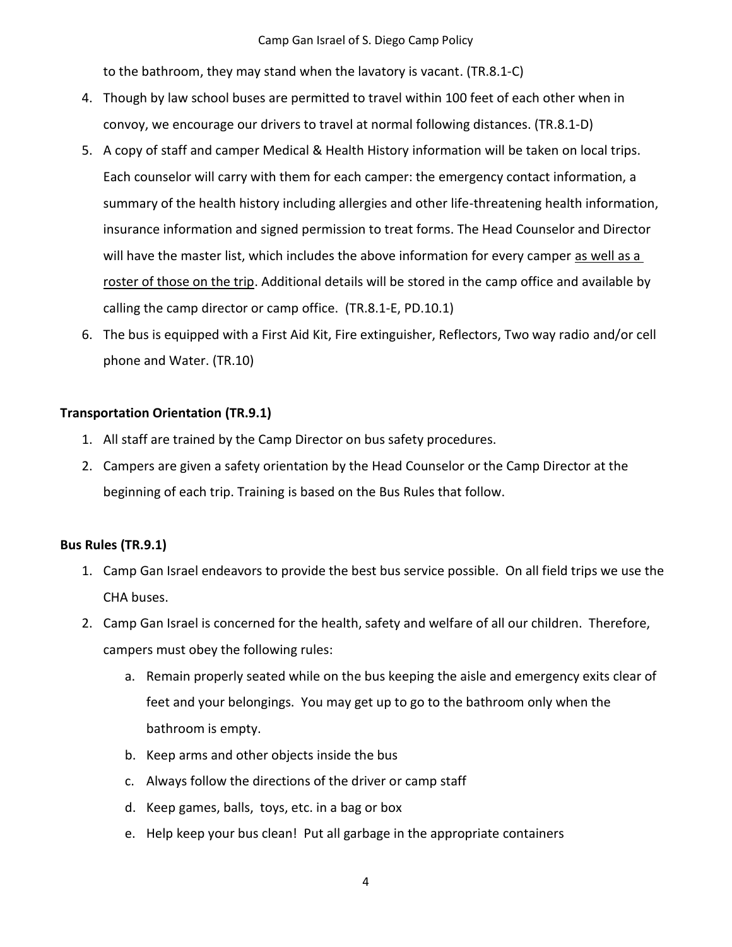#### Camp Gan Israel of S. Diego Camp Policy

to the bathroom, they may stand when the lavatory is vacant. (TR.8.1-C)

- 4. Though by law school buses are permitted to travel within 100 feet of each other when in convoy, we encourage our drivers to travel at normal following distances. (TR.8.1-D)
- 5. A copy of staff and camper Medical & Health History information will be taken on local trips. Each counselor will carry with them for each camper: the emergency contact information, a summary of the health history including allergies and other life-threatening health information, insurance information and signed permission to treat forms. The Head Counselor and Director will have the master list, which includes the above information for every camper as well as a roster of those on the trip. Additional details will be stored in the camp office and available by calling the camp director or camp office. (TR.8.1-E, PD.10.1)
- 6. The bus is equipped with a First Aid Kit, Fire extinguisher, Reflectors, Two way radio and/or cell phone and Water. (TR.10)

## **Transportation Orientation (TR.9.1)**

- 1. All staff are trained by the Camp Director on bus safety procedures.
- 2. Campers are given a safety orientation by the Head Counselor or the Camp Director at the beginning of each trip. Training is based on the Bus Rules that follow.

# **Bus Rules (TR.9.1)**

- 1. Camp Gan Israel endeavors to provide the best bus service possible. On all field trips we use the CHA buses.
- 2. Camp Gan Israel is concerned for the health, safety and welfare of all our children. Therefore, campers must obey the following rules:
	- a. Remain properly seated while on the bus keeping the aisle and emergency exits clear of feet and your belongings. You may get up to go to the bathroom only when the bathroom is empty.
	- b. Keep arms and other objects inside the bus
	- c. Always follow the directions of the driver or camp staff
	- d. Keep games, balls, toys, etc. in a bag or box
	- e. Help keep your bus clean! Put all garbage in the appropriate containers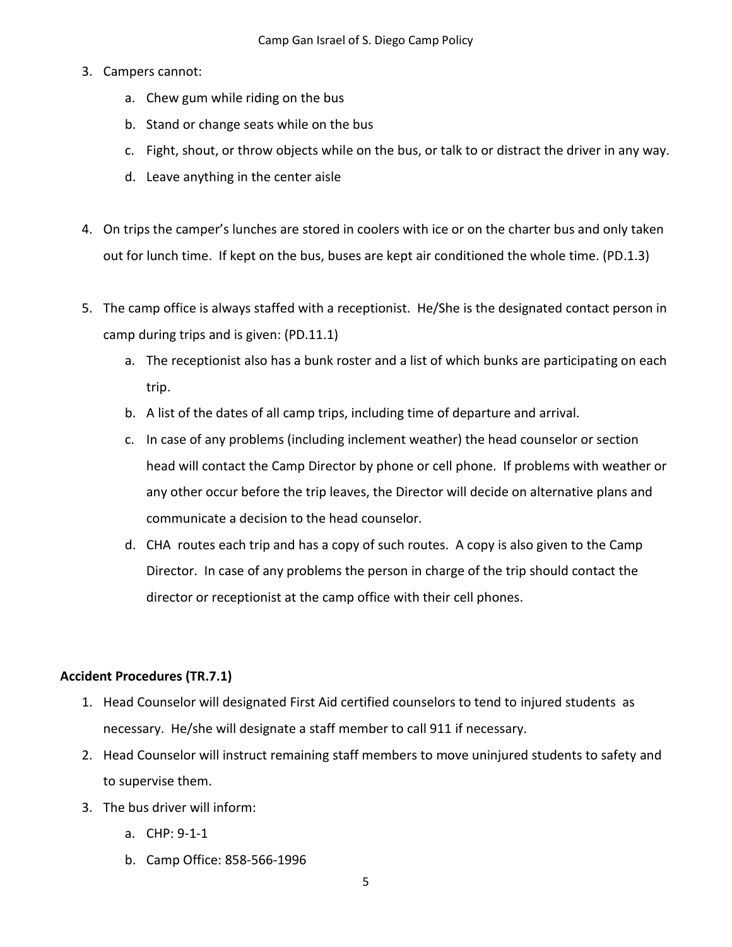- 3. Campers cannot:
	- a. Chew gum while riding on the bus
	- b. Stand or change seats while on the bus
	- c. Fight, shout, or throw objects while on the bus, or talk to or distract the driver in any way.
	- d. Leave anything in the center aisle
- 4. On trips the camper's lunches are stored in coolers with ice or on the charter bus and only taken out for lunch time. If kept on the bus, buses are kept air conditioned the whole time. (PD.1.3)
- 5. The camp office is always staffed with a receptionist. He/She is the designated contact person in camp during trips and is given: (PD.11.1)
	- a. The receptionist also has a bunk roster and a list of which bunks are participating on each trip.
	- b. A list of the dates of all camp trips, including time of departure and arrival.
	- c. In case of any problems (including inclement weather) the head counselor or section head will contact the Camp Director by phone or cell phone. If problems with weather or any other occur before the trip leaves, the Director will decide on alternative plans and communicate a decision to the head counselor.
	- d. CHA routes each trip and has a copy of such routes. A copy is also given to the Camp Director. In case of any problems the person in charge of the trip should contact the director or receptionist at the camp office with their cell phones.

# **Accident Procedures (TR.7.1)**

- 1. Head Counselor will designated First Aid certified counselors to tend to injured students as necessary. He/she will designate a staff member to call 911 if necessary.
- 2. Head Counselor will instruct remaining staff members to move uninjured students to safety and to supervise them.
- 3. The bus driver will inform:
	- a. CHP: 9-1-1
	- b. Camp Office: 858-566-1996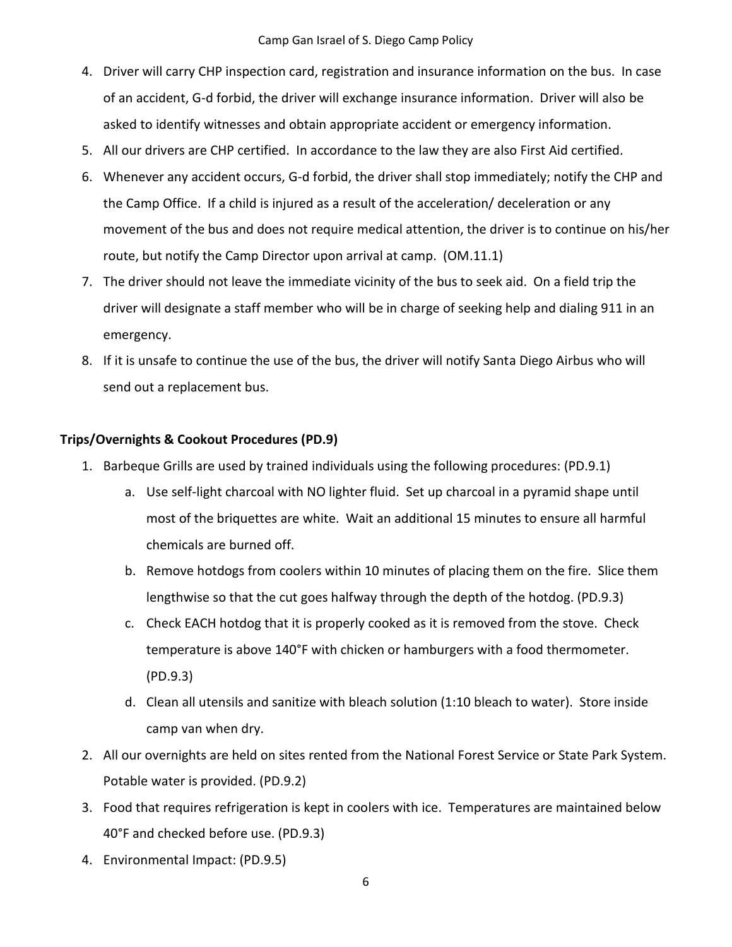- 4. Driver will carry CHP inspection card, registration and insurance information on the bus. In case of an accident, G-d forbid, the driver will exchange insurance information. Driver will also be asked to identify witnesses and obtain appropriate accident or emergency information.
- 5. All our drivers are CHP certified. In accordance to the law they are also First Aid certified.
- 6. Whenever any accident occurs, G-d forbid, the driver shall stop immediately; notify the CHP and the Camp Office. If a child is injured as a result of the acceleration/ deceleration or any movement of the bus and does not require medical attention, the driver is to continue on his/her route, but notify the Camp Director upon arrival at camp. (OM.11.1)
- 7. The driver should not leave the immediate vicinity of the bus to seek aid. On a field trip the driver will designate a staff member who will be in charge of seeking help and dialing 911 in an emergency.
- 8. If it is unsafe to continue the use of the bus, the driver will notify Santa Diego Airbus who will send out a replacement bus.

# **Trips/Overnights & Cookout Procedures (PD.9)**

- 1. Barbeque Grills are used by trained individuals using the following procedures: (PD.9.1)
	- a. Use self-light charcoal with NO lighter fluid. Set up charcoal in a pyramid shape until most of the briquettes are white. Wait an additional 15 minutes to ensure all harmful chemicals are burned off.
	- b. Remove hotdogs from coolers within 10 minutes of placing them on the fire. Slice them lengthwise so that the cut goes halfway through the depth of the hotdog. (PD.9.3)
	- c. Check EACH hotdog that it is properly cooked as it is removed from the stove. Check temperature is above 140°F with chicken or hamburgers with a food thermometer. (PD.9.3)
	- d. Clean all utensils and sanitize with bleach solution (1:10 bleach to water). Store inside camp van when dry.
- 2. All our overnights are held on sites rented from the National Forest Service or State Park System. Potable water is provided. (PD.9.2)
- 3. Food that requires refrigeration is kept in coolers with ice. Temperatures are maintained below 40°F and checked before use. (PD.9.3)
- 4. Environmental Impact: (PD.9.5)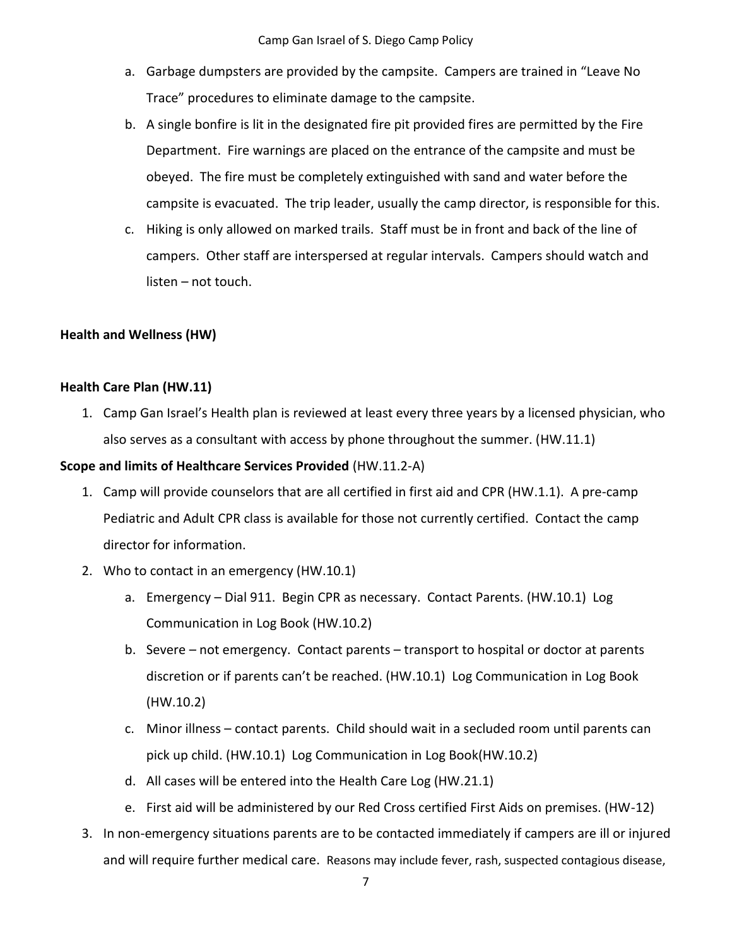- a. Garbage dumpsters are provided by the campsite. Campers are trained in "Leave No Trace" procedures to eliminate damage to the campsite.
- b. A single bonfire is lit in the designated fire pit provided fires are permitted by the Fire Department. Fire warnings are placed on the entrance of the campsite and must be obeyed. The fire must be completely extinguished with sand and water before the campsite is evacuated. The trip leader, usually the camp director, is responsible for this.
- c. Hiking is only allowed on marked trails. Staff must be in front and back of the line of campers. Other staff are interspersed at regular intervals. Campers should watch and listen – not touch.

# **Health and Wellness (HW)**

## **Health Care Plan (HW.11)**

1. Camp Gan Israel's Health plan is reviewed at least every three years by a licensed physician, who also serves as a consultant with access by phone throughout the summer. (HW.11.1)

## **Scope and limits of Healthcare Services Provided** (HW.11.2-A)

- 1. Camp will provide counselors that are all certified in first aid and CPR (HW.1.1). A pre-camp Pediatric and Adult CPR class is available for those not currently certified. Contact the camp director for information.
- 2. Who to contact in an emergency (HW.10.1)
	- a. Emergency Dial 911. Begin CPR as necessary. Contact Parents. (HW.10.1) Log Communication in Log Book (HW.10.2)
	- b. Severe not emergency. Contact parents transport to hospital or doctor at parents discretion or if parents can't be reached. (HW.10.1) Log Communication in Log Book (HW.10.2)
	- c. Minor illness contact parents. Child should wait in a secluded room until parents can pick up child. (HW.10.1) Log Communication in Log Book(HW.10.2)
	- d. All cases will be entered into the Health Care Log (HW.21.1)
	- e. First aid will be administered by our Red Cross certified First Aids on premises. (HW-12)
- 3. In non-emergency situations parents are to be contacted immediately if campers are ill or injured and will require further medical care. Reasons may include fever, rash, suspected contagious disease,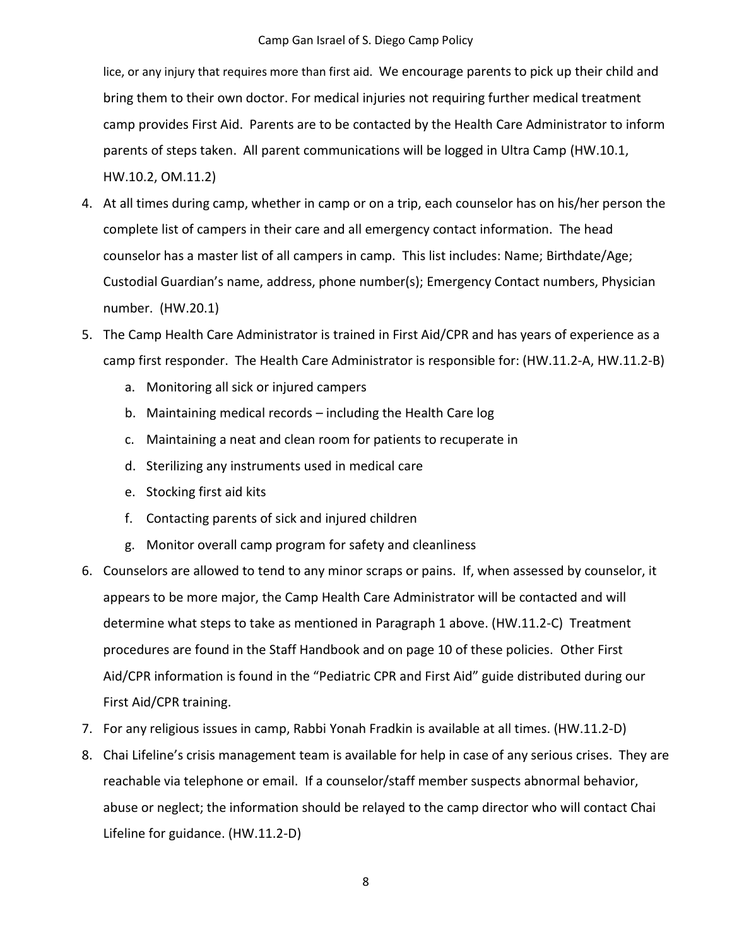#### Camp Gan Israel of S. Diego Camp Policy

lice, or any injury that requires more than first aid. We encourage parents to pick up their child and bring them to their own doctor. For medical injuries not requiring further medical treatment camp provides First Aid. Parents are to be contacted by the Health Care Administrator to inform parents of steps taken. All parent communications will be logged in Ultra Camp (HW.10.1, HW.10.2, OM.11.2)

- 4. At all times during camp, whether in camp or on a trip, each counselor has on his/her person the complete list of campers in their care and all emergency contact information. The head counselor has a master list of all campers in camp. This list includes: Name; Birthdate/Age; Custodial Guardian's name, address, phone number(s); Emergency Contact numbers, Physician number. (HW.20.1)
- 5. The Camp Health Care Administrator is trained in First Aid/CPR and has years of experience as a camp first responder. The Health Care Administrator is responsible for: (HW.11.2-A, HW.11.2-B)
	- a. Monitoring all sick or injured campers
	- b. Maintaining medical records including the Health Care log
	- c. Maintaining a neat and clean room for patients to recuperate in
	- d. Sterilizing any instruments used in medical care
	- e. Stocking first aid kits
	- f. Contacting parents of sick and injured children
	- g. Monitor overall camp program for safety and cleanliness
- 6. Counselors are allowed to tend to any minor scraps or pains. If, when assessed by counselor, it appears to be more major, the Camp Health Care Administrator will be contacted and will determine what steps to take as mentioned in Paragraph 1 above. (HW.11.2-C) Treatment procedures are found in the Staff Handbook and on page 10 of these policies. Other First Aid/CPR information is found in the "Pediatric CPR and First Aid" guide distributed during our First Aid/CPR training.
- 7. For any religious issues in camp, Rabbi Yonah Fradkin is available at all times. (HW.11.2-D)
- 8. Chai Lifeline's crisis management team is available for help in case of any serious crises. They are reachable via telephone or email. If a counselor/staff member suspects abnormal behavior, abuse or neglect; the information should be relayed to the camp director who will contact Chai Lifeline for guidance. (HW.11.2-D)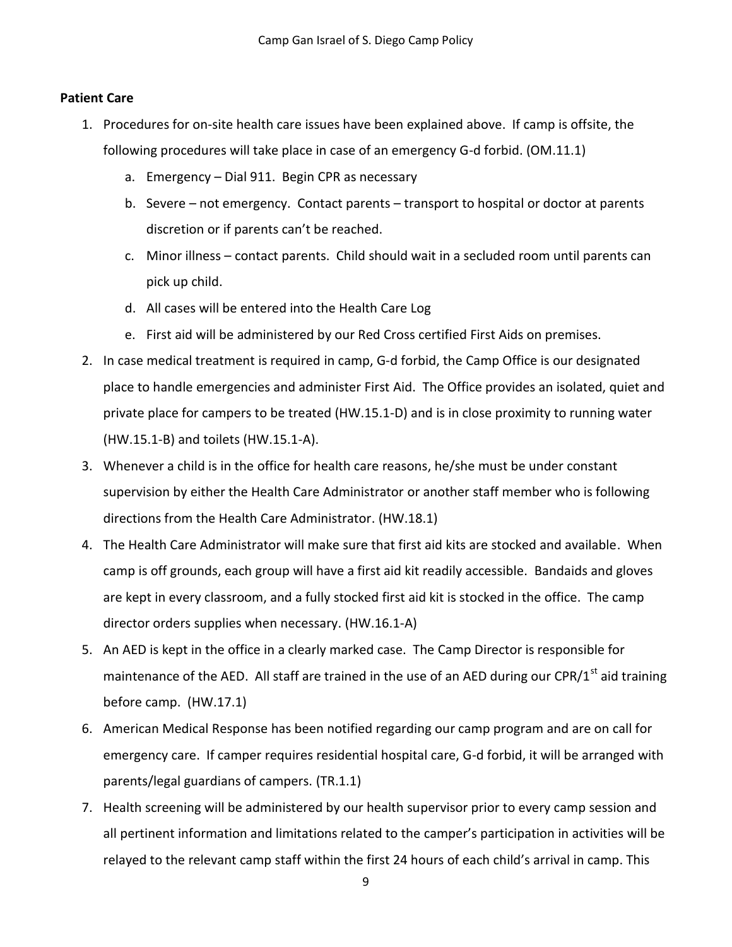## **Patient Care**

- 1. Procedures for on-site health care issues have been explained above. If camp is offsite, the following procedures will take place in case of an emergency G-d forbid. (OM.11.1)
	- a. Emergency Dial 911. Begin CPR as necessary
	- b. Severe not emergency. Contact parents transport to hospital or doctor at parents discretion or if parents can't be reached.
	- c. Minor illness contact parents. Child should wait in a secluded room until parents can pick up child.
	- d. All cases will be entered into the Health Care Log
	- e. First aid will be administered by our Red Cross certified First Aids on premises.
- 2. In case medical treatment is required in camp, G-d forbid, the Camp Office is our designated place to handle emergencies and administer First Aid. The Office provides an isolated, quiet and private place for campers to be treated (HW.15.1-D) and is in close proximity to running water (HW.15.1-B) and toilets (HW.15.1-A).
- 3. Whenever a child is in the office for health care reasons, he/she must be under constant supervision by either the Health Care Administrator or another staff member who is following directions from the Health Care Administrator. (HW.18.1)
- 4. The Health Care Administrator will make sure that first aid kits are stocked and available. When camp is off grounds, each group will have a first aid kit readily accessible. Bandaids and gloves are kept in every classroom, and a fully stocked first aid kit is stocked in the office. The camp director orders supplies when necessary. (HW.16.1-A)
- 5. An AED is kept in the office in a clearly marked case. The Camp Director is responsible for maintenance of the AED. All staff are trained in the use of an AED during our CPR/1<sup>st</sup> aid training before camp. (HW.17.1)
- 6. American Medical Response has been notified regarding our camp program and are on call for emergency care. If camper requires residential hospital care, G-d forbid, it will be arranged with parents/legal guardians of campers. (TR.1.1)
- 7. Health screening will be administered by our health supervisor prior to every camp session and all pertinent information and limitations related to the camper's participation in activities will be relayed to the relevant camp staff within the first 24 hours of each child's arrival in camp. This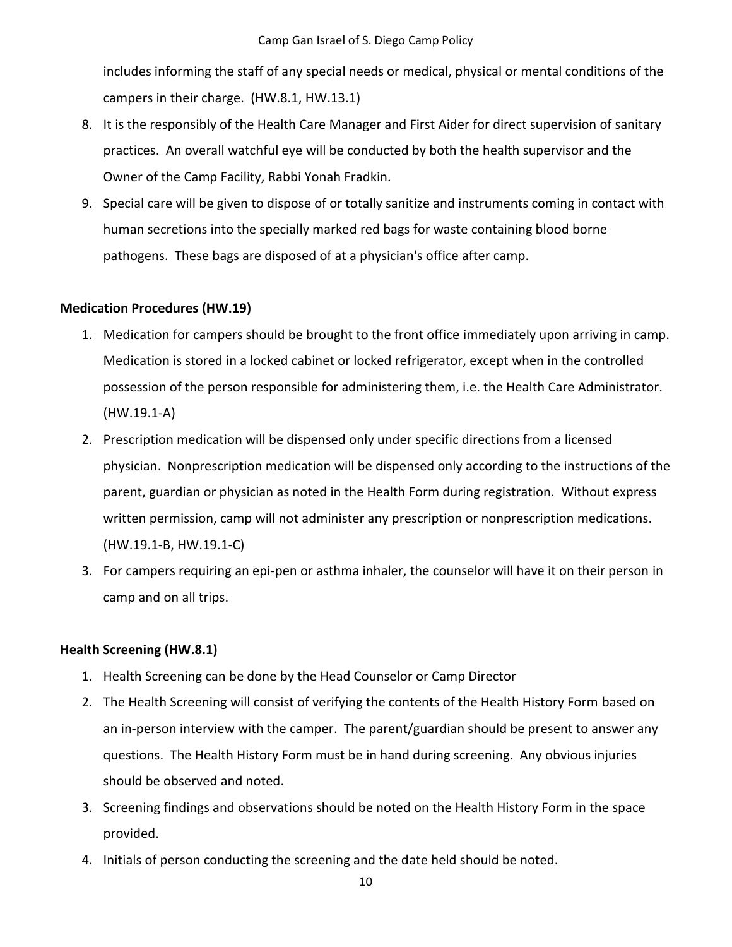includes informing the staff of any special needs or medical, physical or mental conditions of the campers in their charge. (HW.8.1, HW.13.1)

- 8. It is the responsibly of the Health Care Manager and First Aider for direct supervision of sanitary practices. An overall watchful eye will be conducted by both the health supervisor and the Owner of the Camp Facility, Rabbi Yonah Fradkin.
- 9. Special care will be given to dispose of or totally sanitize and instruments coming in contact with human secretions into the specially marked red bags for waste containing blood borne pathogens. These bags are disposed of at a physician's office after camp.

## **Medication Procedures (HW.19)**

- 1. Medication for campers should be brought to the front office immediately upon arriving in camp. Medication is stored in a locked cabinet or locked refrigerator, except when in the controlled possession of the person responsible for administering them, i.e. the Health Care Administrator. (HW.19.1-A)
- 2. Prescription medication will be dispensed only under specific directions from a licensed physician. Nonprescription medication will be dispensed only according to the instructions of the parent, guardian or physician as noted in the Health Form during registration. Without express written permission, camp will not administer any prescription or nonprescription medications. (HW.19.1-B, HW.19.1-C)
- 3. For campers requiring an epi-pen or asthma inhaler, the counselor will have it on their person in camp and on all trips.

## **Health Screening (HW.8.1)**

- 1. Health Screening can be done by the Head Counselor or Camp Director
- 2. The Health Screening will consist of verifying the contents of the Health History Form based on an in-person interview with the camper. The parent/guardian should be present to answer any questions. The Health History Form must be in hand during screening. Any obvious injuries should be observed and noted.
- 3. Screening findings and observations should be noted on the Health History Form in the space provided.
- 4. Initials of person conducting the screening and the date held should be noted.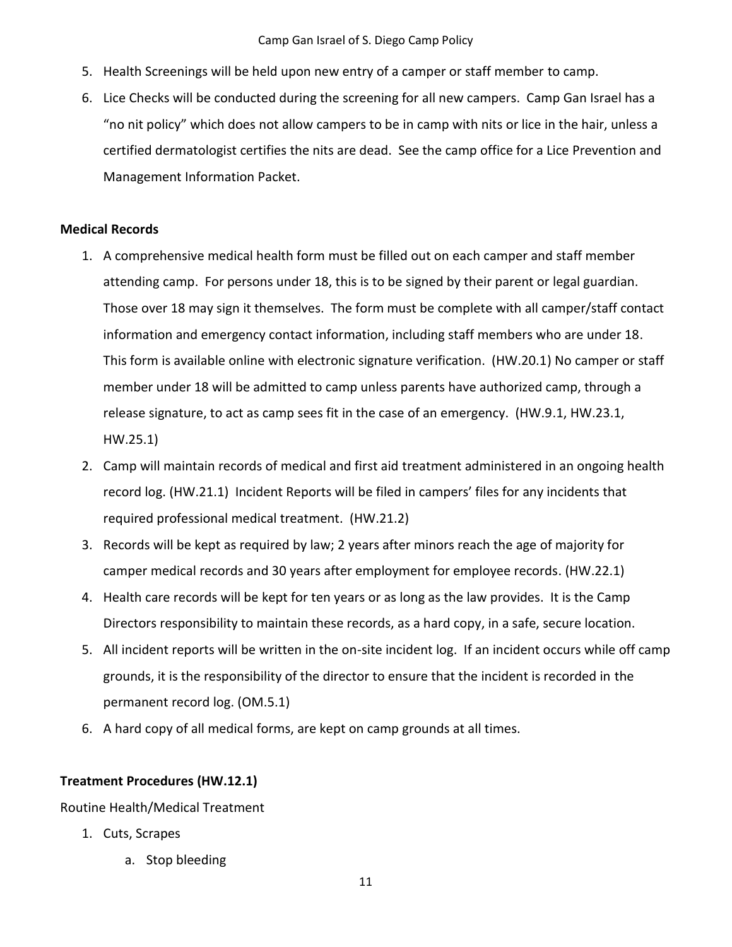- 5. Health Screenings will be held upon new entry of a camper or staff member to camp.
- 6. Lice Checks will be conducted during the screening for all new campers. Camp Gan Israel has a "no nit policy" which does not allow campers to be in camp with nits or lice in the hair, unless a certified dermatologist certifies the nits are dead. See the camp office for a Lice Prevention and Management Information Packet.

## **Medical Records**

- 1. A comprehensive medical health form must be filled out on each camper and staff member attending camp. For persons under 18, this is to be signed by their parent or legal guardian. Those over 18 may sign it themselves. The form must be complete with all camper/staff contact information and emergency contact information, including staff members who are under 18. This form is available online with electronic signature verification. (HW.20.1) No camper or staff member under 18 will be admitted to camp unless parents have authorized camp, through a release signature, to act as camp sees fit in the case of an emergency. (HW.9.1, HW.23.1, HW.25.1)
- 2. Camp will maintain records of medical and first aid treatment administered in an ongoing health record log. (HW.21.1) Incident Reports will be filed in campers' files for any incidents that required professional medical treatment. (HW.21.2)
- 3. Records will be kept as required by law; 2 years after minors reach the age of majority for camper medical records and 30 years after employment for employee records. (HW.22.1)
- 4. Health care records will be kept for ten years or as long as the law provides. It is the Camp Directors responsibility to maintain these records, as a hard copy, in a safe, secure location.
- 5. All incident reports will be written in the on-site incident log. If an incident occurs while off camp grounds, it is the responsibility of the director to ensure that the incident is recorded in the permanent record log. (OM.5.1)
- 6. A hard copy of all medical forms, are kept on camp grounds at all times.

# **Treatment Procedures (HW.12.1)**

Routine Health/Medical Treatment

- 1. Cuts, Scrapes
	- a. Stop bleeding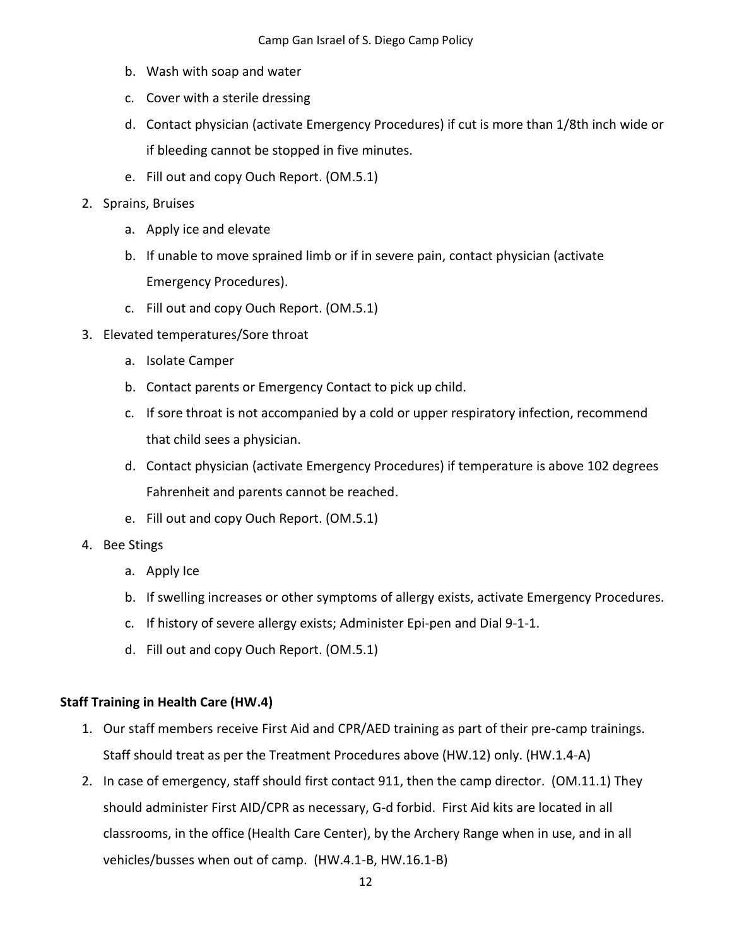- b. Wash with soap and water
- c. Cover with a sterile dressing
- d. Contact physician (activate Emergency Procedures) if cut is more than 1/8th inch wide or if bleeding cannot be stopped in five minutes.
- e. Fill out and copy Ouch Report. (OM.5.1)
- 2. Sprains, Bruises
	- a. Apply ice and elevate
	- b. If unable to move sprained limb or if in severe pain, contact physician (activate Emergency Procedures).
	- c. Fill out and copy Ouch Report. (OM.5.1)
- 3. Elevated temperatures/Sore throat
	- a. Isolate Camper
	- b. Contact parents or Emergency Contact to pick up child.
	- c. If sore throat is not accompanied by a cold or upper respiratory infection, recommend that child sees a physician.
	- d. Contact physician (activate Emergency Procedures) if temperature is above 102 degrees Fahrenheit and parents cannot be reached.
	- e. Fill out and copy Ouch Report. (OM.5.1)
- 4. Bee Stings
	- a. Apply Ice
	- b. If swelling increases or other symptoms of allergy exists, activate Emergency Procedures.
	- c. If history of severe allergy exists; Administer Epi-pen and Dial 9-1-1.
	- d. Fill out and copy Ouch Report. (OM.5.1)

## **Staff Training in Health Care (HW.4)**

- 1. Our staff members receive First Aid and CPR/AED training as part of their pre-camp trainings. Staff should treat as per the Treatment Procedures above (HW.12) only. (HW.1.4-A)
- 2. In case of emergency, staff should first contact 911, then the camp director. (OM.11.1) They should administer First AID/CPR as necessary, G-d forbid. First Aid kits are located in all classrooms, in the office (Health Care Center), by the Archery Range when in use, and in all vehicles/busses when out of camp. (HW.4.1-B, HW.16.1-B)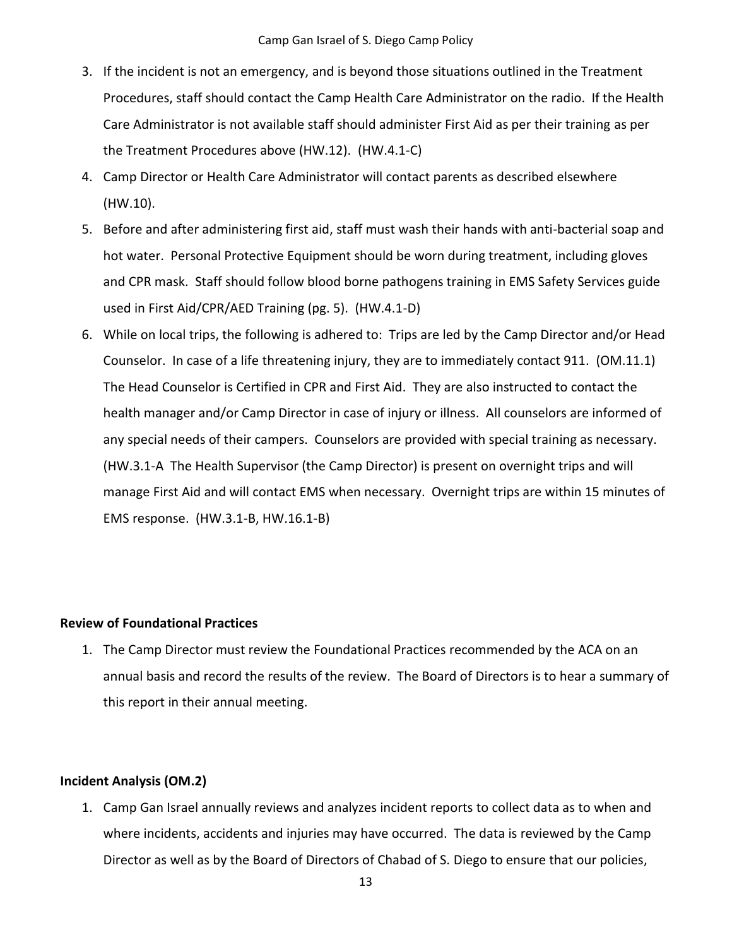- 3. If the incident is not an emergency, and is beyond those situations outlined in the Treatment Procedures, staff should contact the Camp Health Care Administrator on the radio. If the Health Care Administrator is not available staff should administer First Aid as per their training as per the Treatment Procedures above (HW.12). (HW.4.1-C)
- 4. Camp Director or Health Care Administrator will contact parents as described elsewhere (HW.10).
- 5. Before and after administering first aid, staff must wash their hands with anti-bacterial soap and hot water. Personal Protective Equipment should be worn during treatment, including gloves and CPR mask. Staff should follow blood borne pathogens training in EMS Safety Services guide used in First Aid/CPR/AED Training (pg. 5). (HW.4.1-D)
- 6. While on local trips, the following is adhered to: Trips are led by the Camp Director and/or Head Counselor. In case of a life threatening injury, they are to immediately contact 911. (OM.11.1) The Head Counselor is Certified in CPR and First Aid. They are also instructed to contact the health manager and/or Camp Director in case of injury or illness. All counselors are informed of any special needs of their campers. Counselors are provided with special training as necessary. (HW.3.1-A The Health Supervisor (the Camp Director) is present on overnight trips and will manage First Aid and will contact EMS when necessary. Overnight trips are within 15 minutes of EMS response. (HW.3.1-B, HW.16.1-B)

## **Review of Foundational Practices**

1. The Camp Director must review the Foundational Practices recommended by the ACA on an annual basis and record the results of the review. The Board of Directors is to hear a summary of this report in their annual meeting.

## **Incident Analysis (OM.2)**

1. Camp Gan Israel annually reviews and analyzes incident reports to collect data as to when and where incidents, accidents and injuries may have occurred. The data is reviewed by the Camp Director as well as by the Board of Directors of Chabad of S. Diego to ensure that our policies,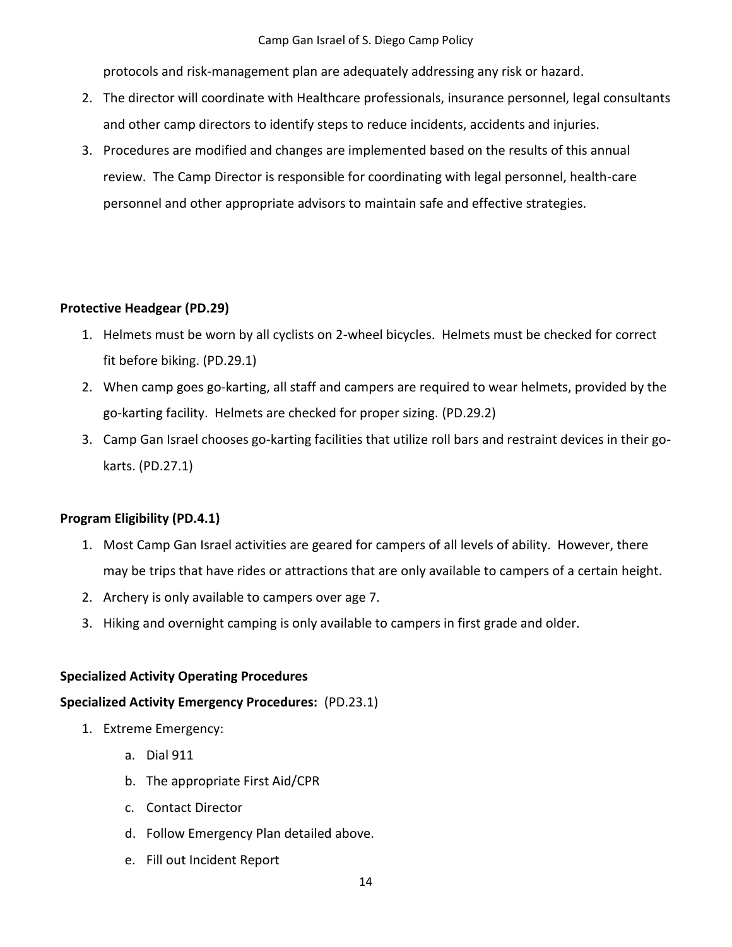protocols and risk-management plan are adequately addressing any risk or hazard.

- 2. The director will coordinate with Healthcare professionals, insurance personnel, legal consultants and other camp directors to identify steps to reduce incidents, accidents and injuries.
- 3. Procedures are modified and changes are implemented based on the results of this annual review. The Camp Director is responsible for coordinating with legal personnel, health-care personnel and other appropriate advisors to maintain safe and effective strategies.

# **Protective Headgear (PD.29)**

- 1. Helmets must be worn by all cyclists on 2-wheel bicycles. Helmets must be checked for correct fit before biking. (PD.29.1)
- 2. When camp goes go-karting, all staff and campers are required to wear helmets, provided by the go-karting facility. Helmets are checked for proper sizing. (PD.29.2)
- 3. Camp Gan Israel chooses go-karting facilities that utilize roll bars and restraint devices in their gokarts. (PD.27.1)

# **Program Eligibility (PD.4.1)**

- 1. Most Camp Gan Israel activities are geared for campers of all levels of ability. However, there may be trips that have rides or attractions that are only available to campers of a certain height.
- 2. Archery is only available to campers over age 7.
- 3. Hiking and overnight camping is only available to campers in first grade and older.

# **Specialized Activity Operating Procedures**

# **Specialized Activity Emergency Procedures:** (PD.23.1)

- 1. Extreme Emergency:
	- a. Dial 911
	- b. The appropriate First Aid/CPR
	- c. Contact Director
	- d. Follow Emergency Plan detailed above.
	- e. Fill out Incident Report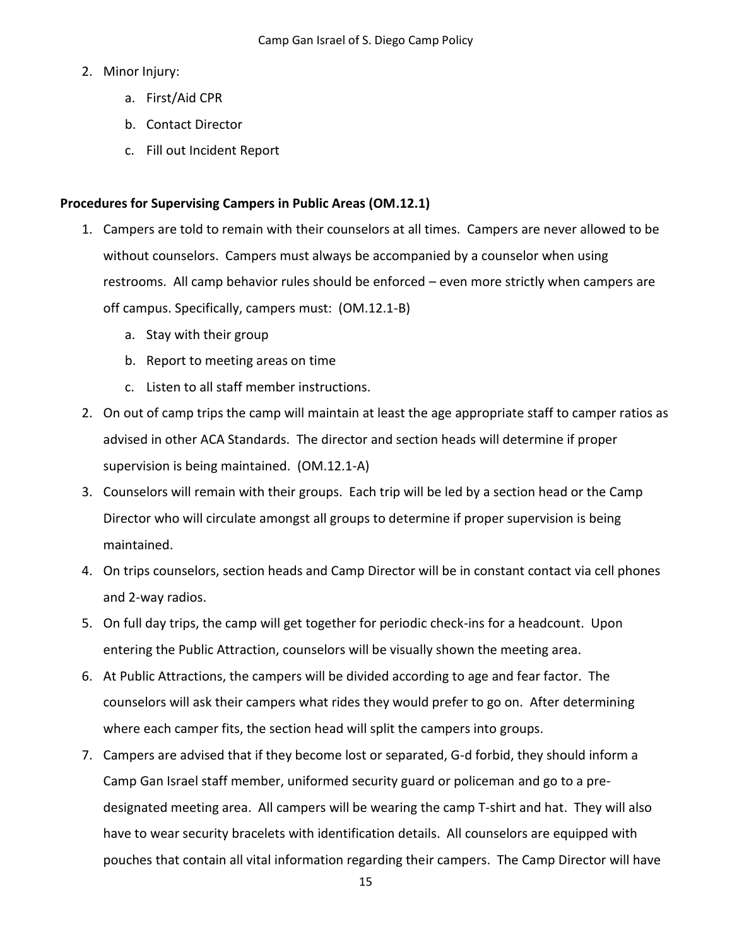- 2. Minor Injury:
	- a. First/Aid CPR
	- b. Contact Director
	- c. Fill out Incident Report

## **Procedures for Supervising Campers in Public Areas (OM.12.1)**

- 1. Campers are told to remain with their counselors at all times. Campers are never allowed to be without counselors. Campers must always be accompanied by a counselor when using restrooms. All camp behavior rules should be enforced – even more strictly when campers are off campus. Specifically, campers must: (OM.12.1-B)
	- a. Stay with their group
	- b. Report to meeting areas on time
	- c. Listen to all staff member instructions.
- 2. On out of camp trips the camp will maintain at least the age appropriate staff to camper ratios as advised in other ACA Standards. The director and section heads will determine if proper supervision is being maintained. (OM.12.1-A)
- 3. Counselors will remain with their groups. Each trip will be led by a section head or the Camp Director who will circulate amongst all groups to determine if proper supervision is being maintained.
- 4. On trips counselors, section heads and Camp Director will be in constant contact via cell phones and 2-way radios.
- 5. On full day trips, the camp will get together for periodic check-ins for a headcount. Upon entering the Public Attraction, counselors will be visually shown the meeting area.
- 6. At Public Attractions, the campers will be divided according to age and fear factor. The counselors will ask their campers what rides they would prefer to go on. After determining where each camper fits, the section head will split the campers into groups.
- 7. Campers are advised that if they become lost or separated, G-d forbid, they should inform a Camp Gan Israel staff member, uniformed security guard or policeman and go to a predesignated meeting area. All campers will be wearing the camp T-shirt and hat. They will also have to wear security bracelets with identification details. All counselors are equipped with pouches that contain all vital information regarding their campers. The Camp Director will have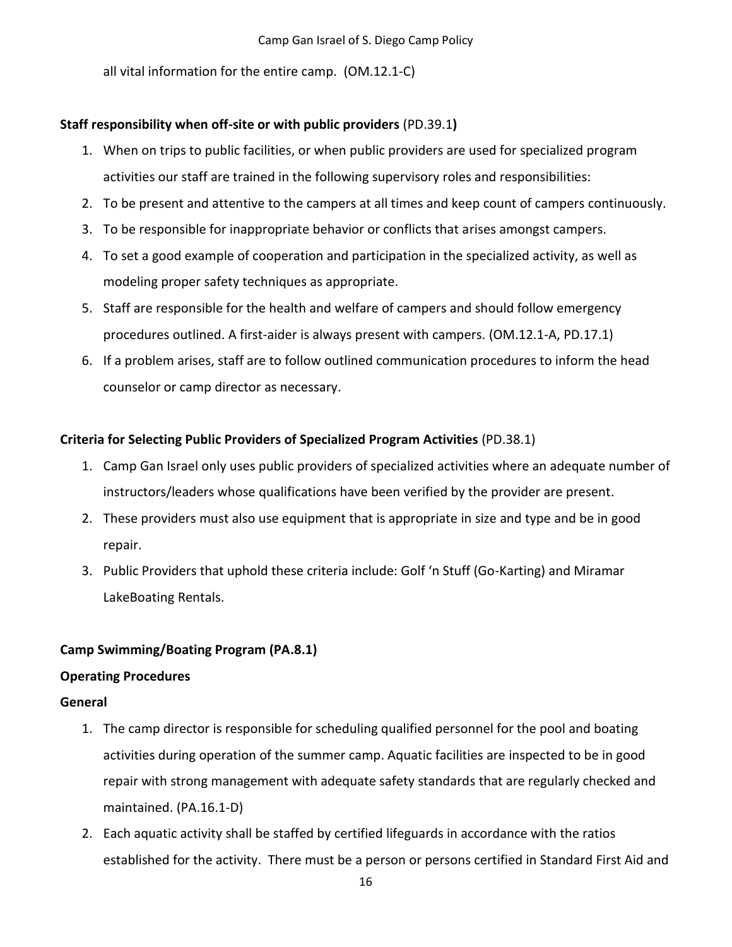all vital information for the entire camp. (OM.12.1-C)

# **Staff responsibility when off-site or with public providers** (PD.39.1**)**

- 1. When on trips to public facilities, or when public providers are used for specialized program activities our staff are trained in the following supervisory roles and responsibilities:
- 2. To be present and attentive to the campers at all times and keep count of campers continuously.
- 3. To be responsible for inappropriate behavior or conflicts that arises amongst campers.
- 4. To set a good example of cooperation and participation in the specialized activity, as well as modeling proper safety techniques as appropriate.
- 5. Staff are responsible for the health and welfare of campers and should follow emergency procedures outlined. A first-aider is always present with campers. (OM.12.1-A, PD.17.1)
- 6. If a problem arises, staff are to follow outlined communication procedures to inform the head counselor or camp director as necessary.

# **Criteria for Selecting Public Providers of Specialized Program Activities** (PD.38.1)

- 1. Camp Gan Israel only uses public providers of specialized activities where an adequate number of instructors/leaders whose qualifications have been verified by the provider are present.
- 2. These providers must also use equipment that is appropriate in size and type and be in good repair.
- 3. Public Providers that uphold these criteria include: Golf 'n Stuff (Go-Karting) and Miramar LakeBoating Rentals.

# **Camp Swimming/Boating Program (PA.8.1)**

# **Operating Procedures**

# **General**

- 1. The camp director is responsible for scheduling qualified personnel for the pool and boating activities during operation of the summer camp. Aquatic facilities are inspected to be in good repair with strong management with adequate safety standards that are regularly checked and maintained. (PA.16.1-D)
- 2. Each aquatic activity shall be staffed by certified lifeguards in accordance with the ratios established for the activity. There must be a person or persons certified in Standard First Aid and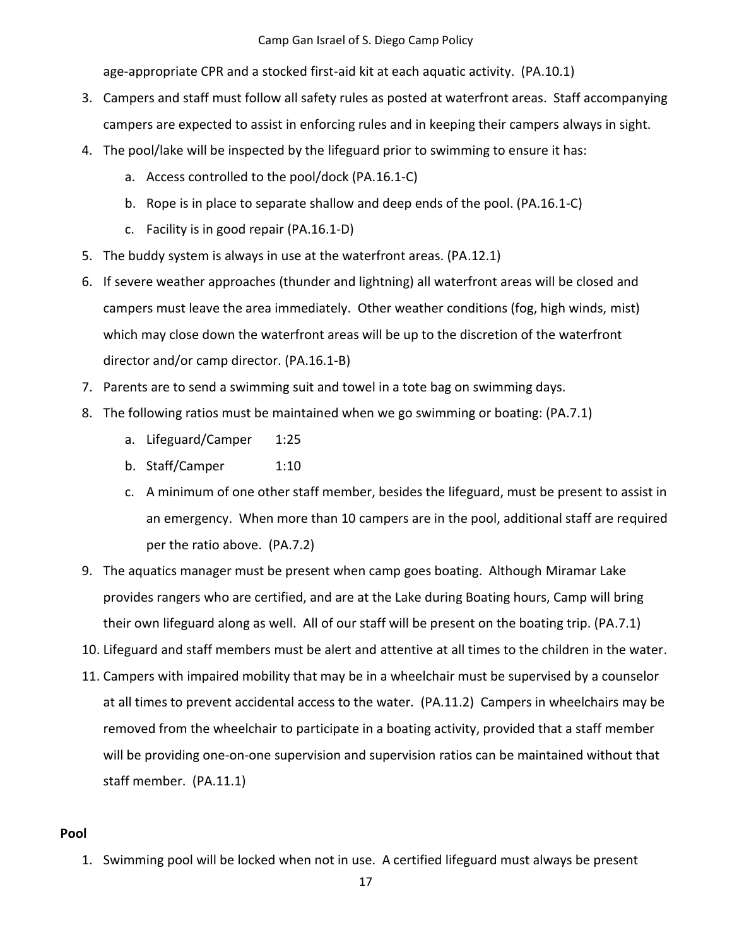age-appropriate CPR and a stocked first-aid kit at each aquatic activity. (PA.10.1)

- 3. Campers and staff must follow all safety rules as posted at waterfront areas. Staff accompanying campers are expected to assist in enforcing rules and in keeping their campers always in sight.
- 4. The pool/lake will be inspected by the lifeguard prior to swimming to ensure it has:
	- a. Access controlled to the pool/dock (PA.16.1-C)
	- b. Rope is in place to separate shallow and deep ends of the pool. (PA.16.1-C)
	- c. Facility is in good repair (PA.16.1-D)
- 5. The buddy system is always in use at the waterfront areas. (PA.12.1)
- 6. If severe weather approaches (thunder and lightning) all waterfront areas will be closed and campers must leave the area immediately. Other weather conditions (fog, high winds, mist) which may close down the waterfront areas will be up to the discretion of the waterfront director and/or camp director. (PA.16.1-B)
- 7. Parents are to send a swimming suit and towel in a tote bag on swimming days.
- 8. The following ratios must be maintained when we go swimming or boating: (PA.7.1)
	- a. Lifeguard/Camper 1:25
	- b. Staff/Camper 1:10
	- c. A minimum of one other staff member, besides the lifeguard, must be present to assist in an emergency. When more than 10 campers are in the pool, additional staff are required per the ratio above. (PA.7.2)
- 9. The aquatics manager must be present when camp goes boating. Although Miramar Lake provides rangers who are certified, and are at the Lake during Boating hours, Camp will bring their own lifeguard along as well. All of our staff will be present on the boating trip. (PA.7.1)
- 10. Lifeguard and staff members must be alert and attentive at all times to the children in the water.
- 11. Campers with impaired mobility that may be in a wheelchair must be supervised by a counselor at all times to prevent accidental access to the water. (PA.11.2) Campers in wheelchairs may be removed from the wheelchair to participate in a boating activity, provided that a staff member will be providing one-on-one supervision and supervision ratios can be maintained without that staff member. (PA.11.1)

## **Pool**

1. Swimming pool will be locked when not in use. A certified lifeguard must always be present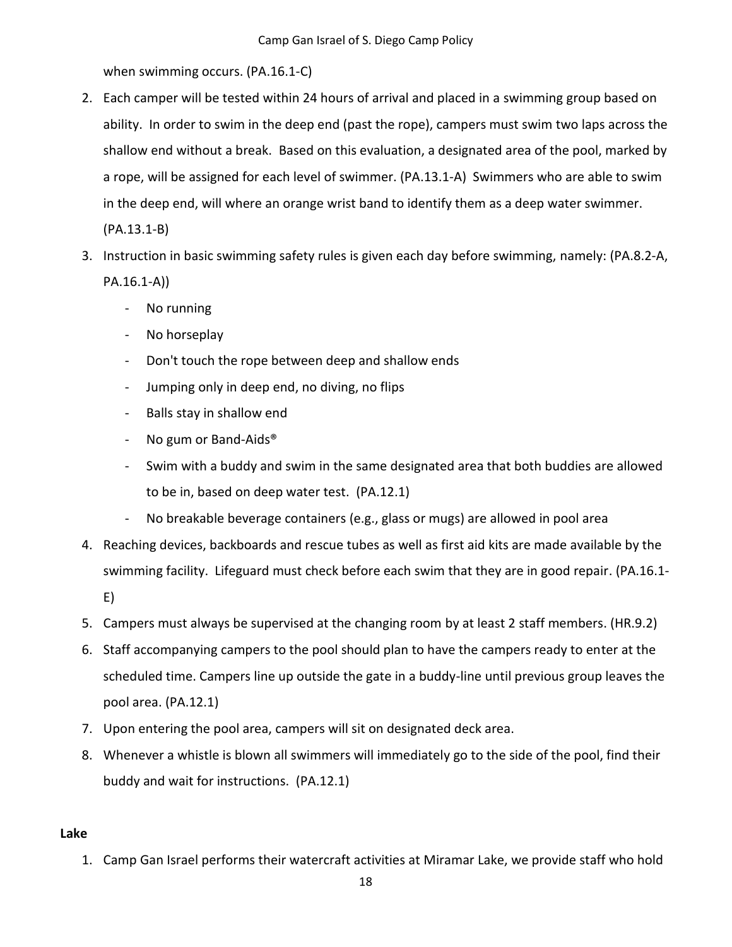when swimming occurs. (PA.16.1-C)

- 2. Each camper will be tested within 24 hours of arrival and placed in a swimming group based on ability. In order to swim in the deep end (past the rope), campers must swim two laps across the shallow end without a break. Based on this evaluation, a designated area of the pool, marked by a rope, will be assigned for each level of swimmer. (PA.13.1-A) Swimmers who are able to swim in the deep end, will where an orange wrist band to identify them as a deep water swimmer. (PA.13.1-B)
- 3. Instruction in basic swimming safety rules is given each day before swimming, namely: (PA.8.2-A, PA.16.1-A))
	- No running
	- No horseplay
	- Don't touch the rope between deep and shallow ends
	- Jumping only in deep end, no diving, no flips
	- Balls stay in shallow end
	- No gum or Band-Aids<sup>®</sup>
	- Swim with a buddy and swim in the same designated area that both buddies are allowed to be in, based on deep water test. (PA.12.1)
	- No breakable beverage containers (e.g., glass or mugs) are allowed in pool area
- 4. Reaching devices, backboards and rescue tubes as well as first aid kits are made available by the swimming facility. Lifeguard must check before each swim that they are in good repair. (PA.16.1- E)
- 5. Campers must always be supervised at the changing room by at least 2 staff members. (HR.9.2)
- 6. Staff accompanying campers to the pool should plan to have the campers ready to enter at the scheduled time. Campers line up outside the gate in a buddy-line until previous group leaves the pool area. (PA.12.1)
- 7. Upon entering the pool area, campers will sit on designated deck area.
- 8. Whenever a whistle is blown all swimmers will immediately go to the side of the pool, find their buddy and wait for instructions. (PA.12.1)

## **Lake**

1. Camp Gan Israel performs their watercraft activities at Miramar Lake, we provide staff who hold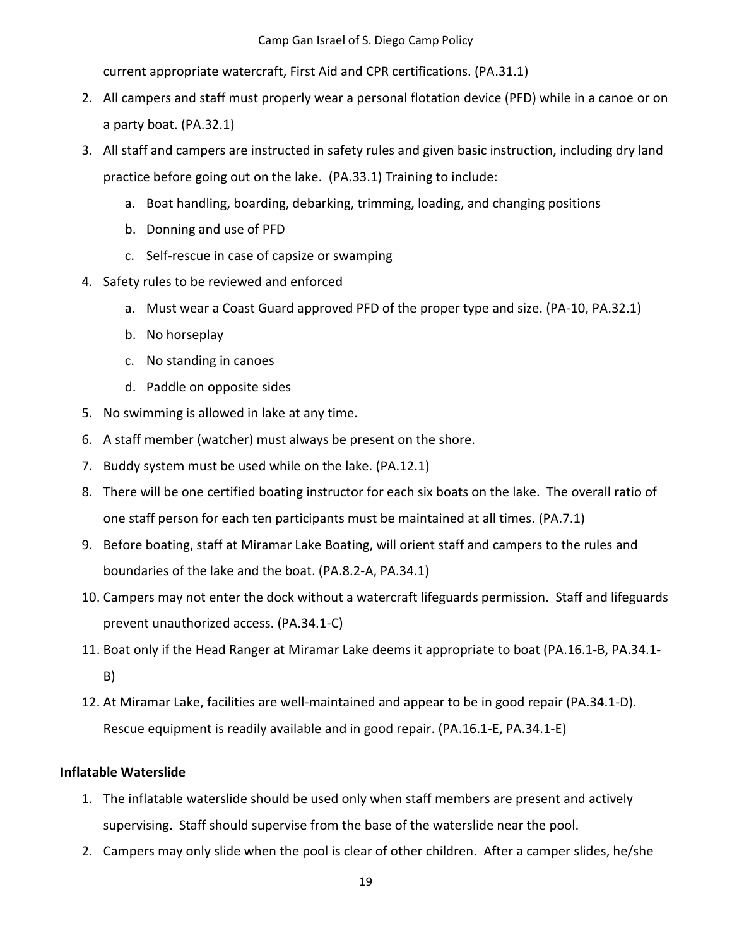current appropriate watercraft, First Aid and CPR certifications. (PA.31.1)

- 2. All campers and staff must properly wear a personal flotation device (PFD) while in a canoe or on a party boat. (PA.32.1)
- 3. All staff and campers are instructed in safety rules and given basic instruction, including dry land practice before going out on the lake. (PA.33.1) Training to include:
	- a. Boat handling, boarding, debarking, trimming, loading, and changing positions
	- b. Donning and use of PFD
	- c. Self-rescue in case of capsize or swamping
- 4. Safety rules to be reviewed and enforced
	- a. Must wear a Coast Guard approved PFD of the proper type and size. (PA-10, PA.32.1)
	- b. No horseplay
	- c. No standing in canoes
	- d. Paddle on opposite sides
- 5. No swimming is allowed in lake at any time.
- 6. A staff member (watcher) must always be present on the shore.
- 7. Buddy system must be used while on the lake. (PA.12.1)
- 8. There will be one certified boating instructor for each six boats on the lake. The overall ratio of one staff person for each ten participants must be maintained at all times. (PA.7.1)
- 9. Before boating, staff at Miramar Lake Boating, will orient staff and campers to the rules and boundaries of the lake and the boat. (PA.8.2-A, PA.34.1)
- 10. Campers may not enter the dock without a watercraft lifeguards permission. Staff and lifeguards prevent unauthorized access. (PA.34.1-C)
- 11. Boat only if the Head Ranger at Miramar Lake deems it appropriate to boat (PA.16.1-B, PA.34.1- B)
- 12. At Miramar Lake, facilities are well-maintained and appear to be in good repair (PA.34.1-D). Rescue equipment is readily available and in good repair. (PA.16.1-E, PA.34.1-E)

# **Inflatable Waterslide**

- 1. The inflatable waterslide should be used only when staff members are present and actively supervising. Staff should supervise from the base of the waterslide near the pool.
- 2. Campers may only slide when the pool is clear of other children. After a camper slides, he/she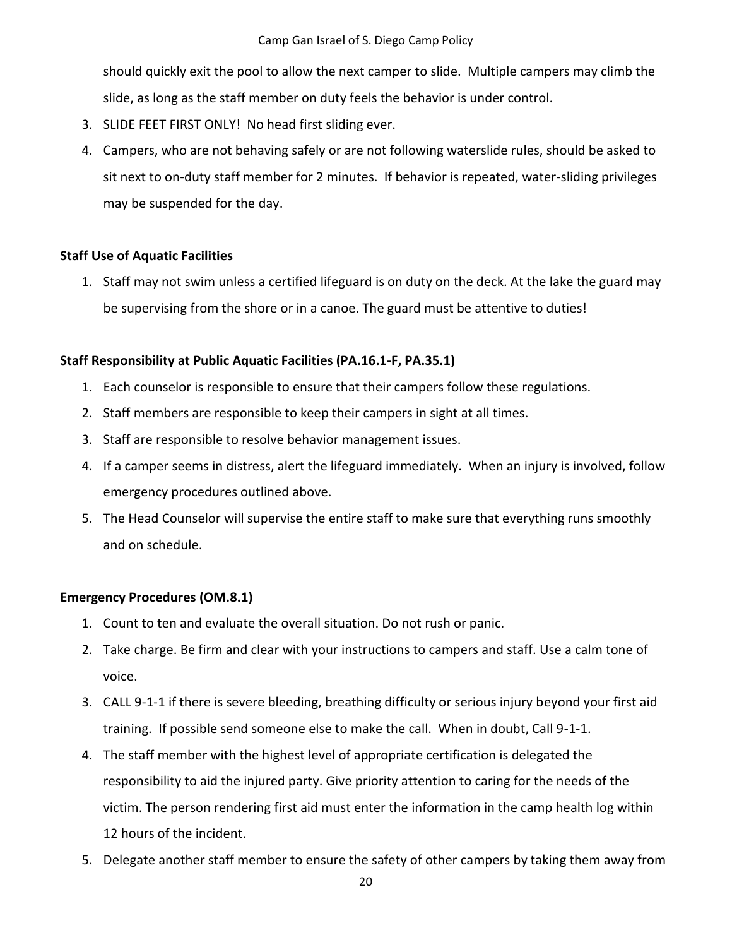should quickly exit the pool to allow the next camper to slide. Multiple campers may climb the slide, as long as the staff member on duty feels the behavior is under control.

- 3. SLIDE FEET FIRST ONLY! No head first sliding ever.
- 4. Campers, who are not behaving safely or are not following waterslide rules, should be asked to sit next to on-duty staff member for 2 minutes. If behavior is repeated, water-sliding privileges may be suspended for the day.

# **Staff Use of Aquatic Facilities**

1. Staff may not swim unless a certified lifeguard is on duty on the deck. At the lake the guard may be supervising from the shore or in a canoe. The guard must be attentive to duties!

# **Staff Responsibility at Public Aquatic Facilities (PA.16.1-F, PA.35.1)**

- 1. Each counselor is responsible to ensure that their campers follow these regulations.
- 2. Staff members are responsible to keep their campers in sight at all times.
- 3. Staff are responsible to resolve behavior management issues.
- 4. If a camper seems in distress, alert the lifeguard immediately. When an injury is involved, follow emergency procedures outlined above.
- 5. The Head Counselor will supervise the entire staff to make sure that everything runs smoothly and on schedule.

# **Emergency Procedures (OM.8.1)**

- 1. Count to ten and evaluate the overall situation. Do not rush or panic.
- 2. Take charge. Be firm and clear with your instructions to campers and staff. Use a calm tone of voice.
- 3. CALL 9-1-1 if there is severe bleeding, breathing difficulty or serious injury beyond your first aid training. If possible send someone else to make the call. When in doubt, Call 9-1-1.
- 4. The staff member with the highest level of appropriate certification is delegated the responsibility to aid the injured party. Give priority attention to caring for the needs of the victim. The person rendering first aid must enter the information in the camp health log within 12 hours of the incident.
- 5. Delegate another staff member to ensure the safety of other campers by taking them away from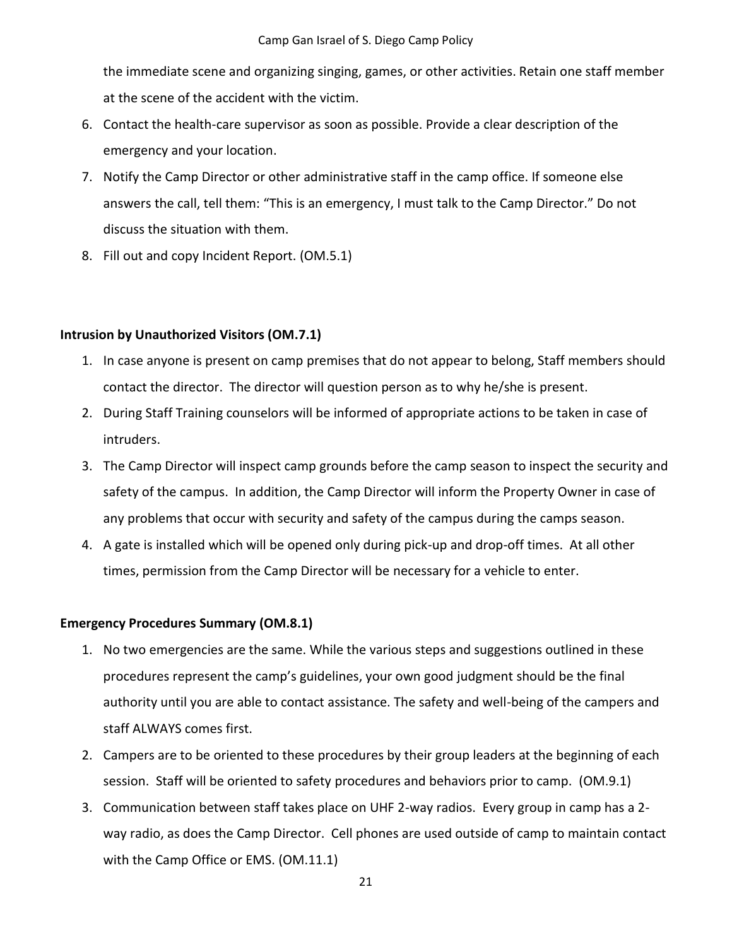the immediate scene and organizing singing, games, or other activities. Retain one staff member at the scene of the accident with the victim.

- 6. Contact the health-care supervisor as soon as possible. Provide a clear description of the emergency and your location.
- 7. Notify the Camp Director or other administrative staff in the camp office. If someone else answers the call, tell them: "This is an emergency, I must talk to the Camp Director." Do not discuss the situation with them.
- 8. Fill out and copy Incident Report. (OM.5.1)

## **Intrusion by Unauthorized Visitors (OM.7.1)**

- 1. In case anyone is present on camp premises that do not appear to belong, Staff members should contact the director. The director will question person as to why he/she is present.
- 2. During Staff Training counselors will be informed of appropriate actions to be taken in case of intruders.
- 3. The Camp Director will inspect camp grounds before the camp season to inspect the security and safety of the campus. In addition, the Camp Director will inform the Property Owner in case of any problems that occur with security and safety of the campus during the camps season.
- 4. A gate is installed which will be opened only during pick-up and drop-off times. At all other times, permission from the Camp Director will be necessary for a vehicle to enter.

## **Emergency Procedures Summary (OM.8.1)**

- 1. No two emergencies are the same. While the various steps and suggestions outlined in these procedures represent the camp's guidelines, your own good judgment should be the final authority until you are able to contact assistance. The safety and well-being of the campers and staff ALWAYS comes first.
- 2. Campers are to be oriented to these procedures by their group leaders at the beginning of each session. Staff will be oriented to safety procedures and behaviors prior to camp. (OM.9.1)
- 3. Communication between staff takes place on UHF 2-way radios. Every group in camp has a 2 way radio, as does the Camp Director. Cell phones are used outside of camp to maintain contact with the Camp Office or EMS. (OM.11.1)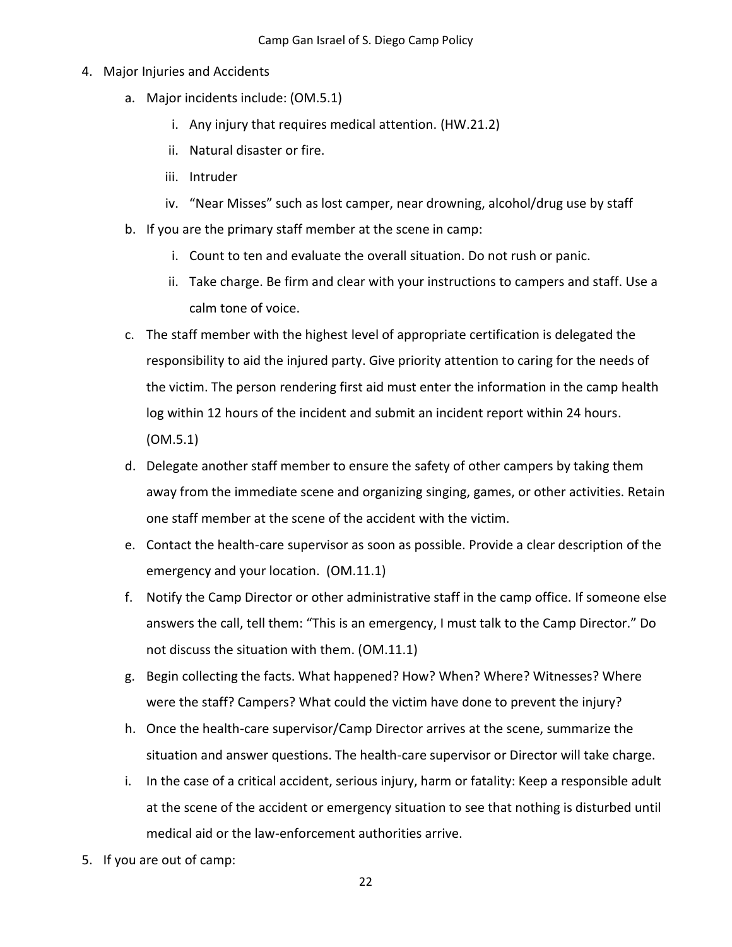- 4. Major Injuries and Accidents
	- a. Major incidents include: (OM.5.1)
		- i. Any injury that requires medical attention. (HW.21.2)
		- ii. Natural disaster or fire.
		- iii. Intruder
		- iv. "Near Misses" such as lost camper, near drowning, alcohol/drug use by staff
	- b. If you are the primary staff member at the scene in camp:
		- i. Count to ten and evaluate the overall situation. Do not rush or panic.
		- ii. Take charge. Be firm and clear with your instructions to campers and staff. Use a calm tone of voice.
	- c. The staff member with the highest level of appropriate certification is delegated the responsibility to aid the injured party. Give priority attention to caring for the needs of the victim. The person rendering first aid must enter the information in the camp health log within 12 hours of the incident and submit an incident report within 24 hours. (OM.5.1)
	- d. Delegate another staff member to ensure the safety of other campers by taking them away from the immediate scene and organizing singing, games, or other activities. Retain one staff member at the scene of the accident with the victim.
	- e. Contact the health-care supervisor as soon as possible. Provide a clear description of the emergency and your location. (OM.11.1)
	- f. Notify the Camp Director or other administrative staff in the camp office. If someone else answers the call, tell them: "This is an emergency, I must talk to the Camp Director." Do not discuss the situation with them. (OM.11.1)
	- g. Begin collecting the facts. What happened? How? When? Where? Witnesses? Where were the staff? Campers? What could the victim have done to prevent the injury?
	- h. Once the health-care supervisor/Camp Director arrives at the scene, summarize the situation and answer questions. The health-care supervisor or Director will take charge.
	- i. In the case of a critical accident, serious injury, harm or fatality: Keep a responsible adult at the scene of the accident or emergency situation to see that nothing is disturbed until medical aid or the law-enforcement authorities arrive.
- 5. If you are out of camp: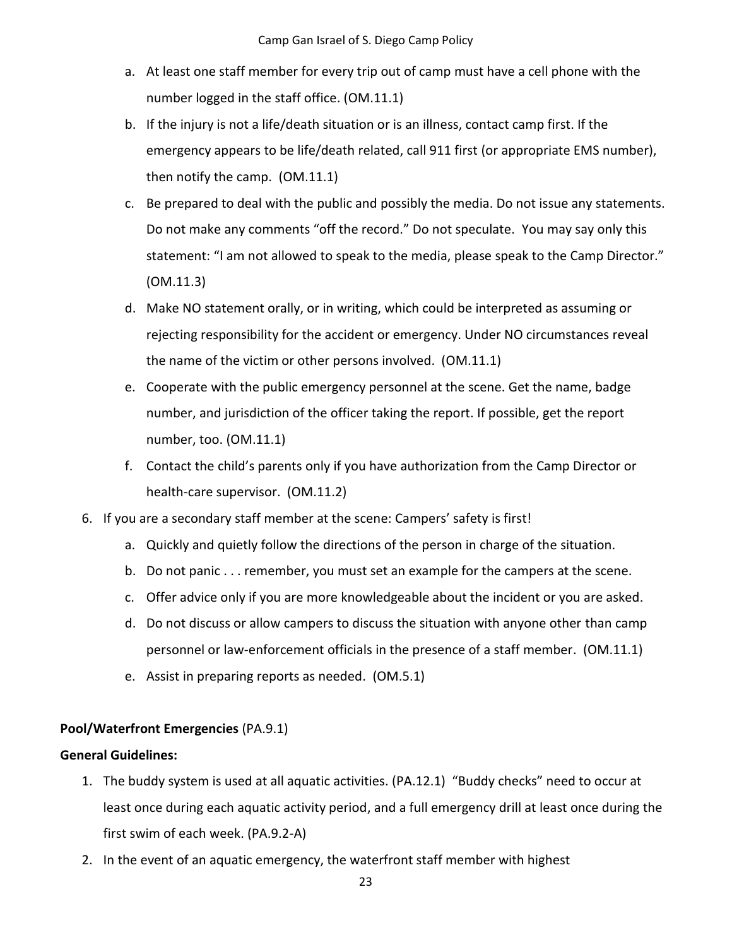- a. At least one staff member for every trip out of camp must have a cell phone with the number logged in the staff office. (OM.11.1)
- b. If the injury is not a life/death situation or is an illness, contact camp first. If the emergency appears to be life/death related, call 911 first (or appropriate EMS number), then notify the camp. (OM.11.1)
- c. Be prepared to deal with the public and possibly the media. Do not issue any statements. Do not make any comments "off the record." Do not speculate. You may say only this statement: "I am not allowed to speak to the media, please speak to the Camp Director." (OM.11.3)
- d. Make NO statement orally, or in writing, which could be interpreted as assuming or rejecting responsibility for the accident or emergency. Under NO circumstances reveal the name of the victim or other persons involved. (OM.11.1)
- e. Cooperate with the public emergency personnel at the scene. Get the name, badge number, and jurisdiction of the officer taking the report. If possible, get the report number, too. (OM.11.1)
- f. Contact the child's parents only if you have authorization from the Camp Director or health-care supervisor. (OM.11.2)
- 6. If you are a secondary staff member at the scene: Campers' safety is first!
	- a. Quickly and quietly follow the directions of the person in charge of the situation.
	- b. Do not panic . . . remember, you must set an example for the campers at the scene.
	- c. Offer advice only if you are more knowledgeable about the incident or you are asked.
	- d. Do not discuss or allow campers to discuss the situation with anyone other than camp personnel or law-enforcement officials in the presence of a staff member. (OM.11.1)
	- e. Assist in preparing reports as needed. (OM.5.1)

# **Pool/Waterfront Emergencies** (PA.9.1)

## **General Guidelines:**

- 1. The buddy system is used at all aquatic activities. (PA.12.1) "Buddy checks" need to occur at least once during each aquatic activity period, and a full emergency drill at least once during the first swim of each week. (PA.9.2-A)
- 2. In the event of an aquatic emergency, the waterfront staff member with highest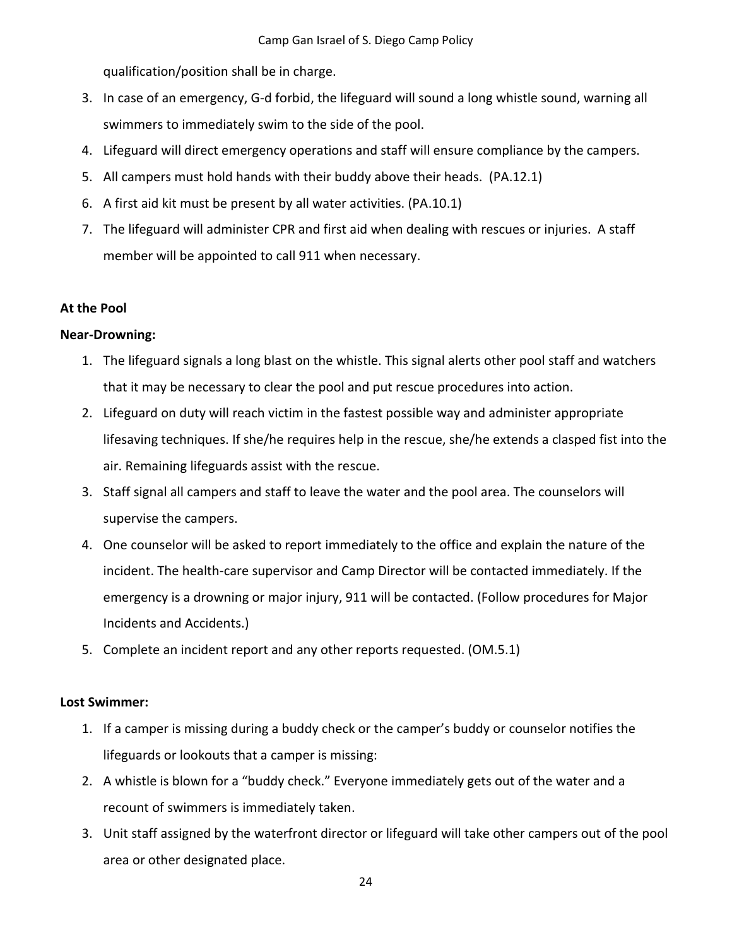qualification/position shall be in charge.

- 3. In case of an emergency, G-d forbid, the lifeguard will sound a long whistle sound, warning all swimmers to immediately swim to the side of the pool.
- 4. Lifeguard will direct emergency operations and staff will ensure compliance by the campers.
- 5. All campers must hold hands with their buddy above their heads. (PA.12.1)
- 6. A first aid kit must be present by all water activities. (PA.10.1)
- 7. The lifeguard will administer CPR and first aid when dealing with rescues or injuries. A staff member will be appointed to call 911 when necessary.

# **At the Pool**

## **Near-Drowning:**

- 1. The lifeguard signals a long blast on the whistle. This signal alerts other pool staff and watchers that it may be necessary to clear the pool and put rescue procedures into action.
- 2. Lifeguard on duty will reach victim in the fastest possible way and administer appropriate lifesaving techniques. If she/he requires help in the rescue, she/he extends a clasped fist into the air. Remaining lifeguards assist with the rescue.
- 3. Staff signal all campers and staff to leave the water and the pool area. The counselors will supervise the campers.
- 4. One counselor will be asked to report immediately to the office and explain the nature of the incident. The health-care supervisor and Camp Director will be contacted immediately. If the emergency is a drowning or major injury, 911 will be contacted. (Follow procedures for Major Incidents and Accidents.)
- 5. Complete an incident report and any other reports requested. (OM.5.1)

# **Lost Swimmer:**

- 1. If a camper is missing during a buddy check or the camper's buddy or counselor notifies the lifeguards or lookouts that a camper is missing:
- 2. A whistle is blown for a "buddy check." Everyone immediately gets out of the water and a recount of swimmers is immediately taken.
- 3. Unit staff assigned by the waterfront director or lifeguard will take other campers out of the pool area or other designated place.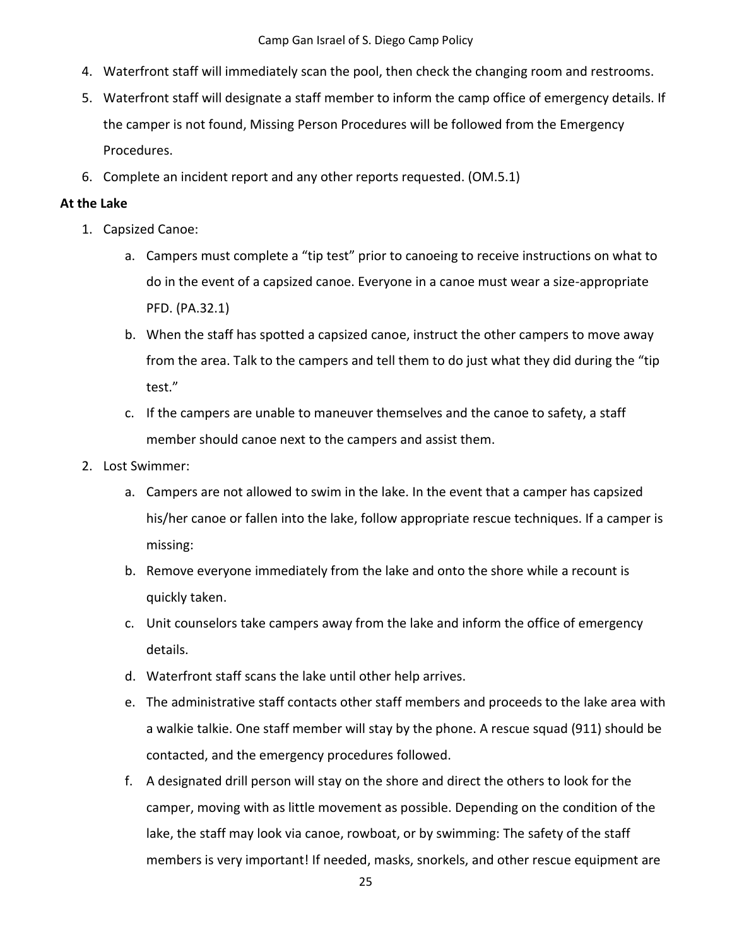- 4. Waterfront staff will immediately scan the pool, then check the changing room and restrooms.
- 5. Waterfront staff will designate a staff member to inform the camp office of emergency details. If the camper is not found, Missing Person Procedures will be followed from the Emergency Procedures.
- 6. Complete an incident report and any other reports requested. (OM.5.1)

## **At the Lake**

- 1. Capsized Canoe:
	- a. Campers must complete a "tip test" prior to canoeing to receive instructions on what to do in the event of a capsized canoe. Everyone in a canoe must wear a size-appropriate PFD. (PA.32.1)
	- b. When the staff has spotted a capsized canoe, instruct the other campers to move away from the area. Talk to the campers and tell them to do just what they did during the "tip test."
	- c. If the campers are unable to maneuver themselves and the canoe to safety, a staff member should canoe next to the campers and assist them.
- 2. Lost Swimmer:
	- a. Campers are not allowed to swim in the lake. In the event that a camper has capsized his/her canoe or fallen into the lake, follow appropriate rescue techniques. If a camper is missing:
	- b. Remove everyone immediately from the lake and onto the shore while a recount is quickly taken.
	- c. Unit counselors take campers away from the lake and inform the office of emergency details.
	- d. Waterfront staff scans the lake until other help arrives.
	- e. The administrative staff contacts other staff members and proceeds to the lake area with a walkie talkie. One staff member will stay by the phone. A rescue squad (911) should be contacted, and the emergency procedures followed.
	- f. A designated drill person will stay on the shore and direct the others to look for the camper, moving with as little movement as possible. Depending on the condition of the lake, the staff may look via canoe, rowboat, or by swimming: The safety of the staff members is very important! If needed, masks, snorkels, and other rescue equipment are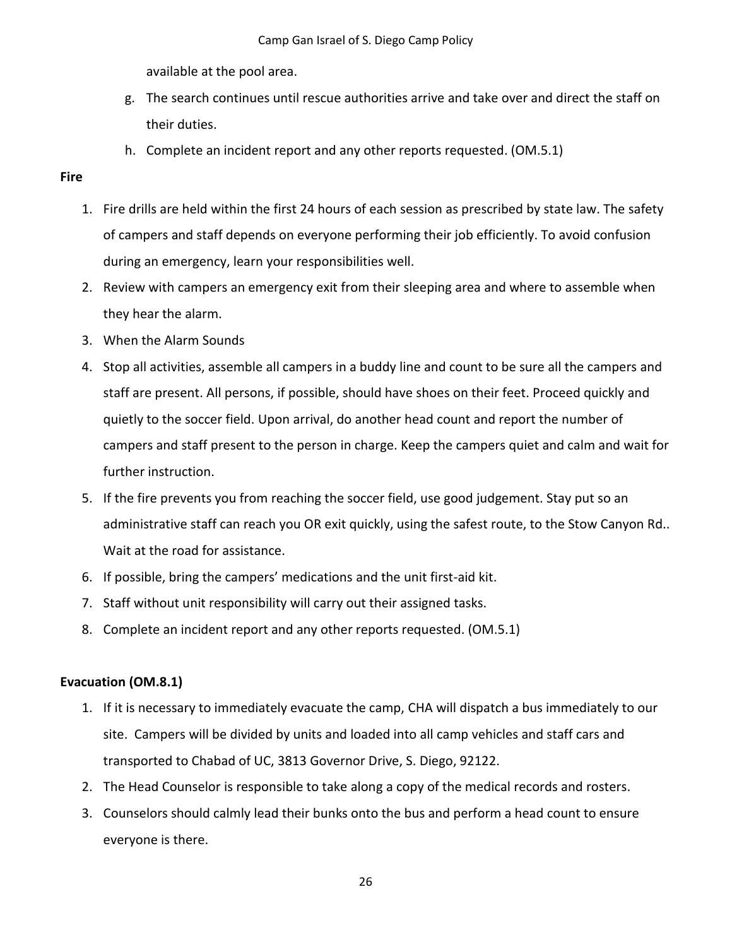available at the pool area.

- g. The search continues until rescue authorities arrive and take over and direct the staff on their duties.
- h. Complete an incident report and any other reports requested. (OM.5.1)

## **Fire**

- 1. Fire drills are held within the first 24 hours of each session as prescribed by state law. The safety of campers and staff depends on everyone performing their job efficiently. To avoid confusion during an emergency, learn your responsibilities well.
- 2. Review with campers an emergency exit from their sleeping area and where to assemble when they hear the alarm.
- 3. When the Alarm Sounds
- 4. Stop all activities, assemble all campers in a buddy line and count to be sure all the campers and staff are present. All persons, if possible, should have shoes on their feet. Proceed quickly and quietly to the soccer field. Upon arrival, do another head count and report the number of campers and staff present to the person in charge. Keep the campers quiet and calm and wait for further instruction.
- 5. If the fire prevents you from reaching the soccer field, use good judgement. Stay put so an administrative staff can reach you OR exit quickly, using the safest route, to the Stow Canyon Rd.. Wait at the road for assistance.
- 6. If possible, bring the campers' medications and the unit first-aid kit.
- 7. Staff without unit responsibility will carry out their assigned tasks.
- 8. Complete an incident report and any other reports requested. (OM.5.1)

# **Evacuation (OM.8.1)**

- 1. If it is necessary to immediately evacuate the camp, CHA will dispatch a bus immediately to our site. Campers will be divided by units and loaded into all camp vehicles and staff cars and transported to Chabad of UC, 3813 Governor Drive, S. Diego, 92122.
- 2. The Head Counselor is responsible to take along a copy of the medical records and rosters.
- 3. Counselors should calmly lead their bunks onto the bus and perform a head count to ensure everyone is there.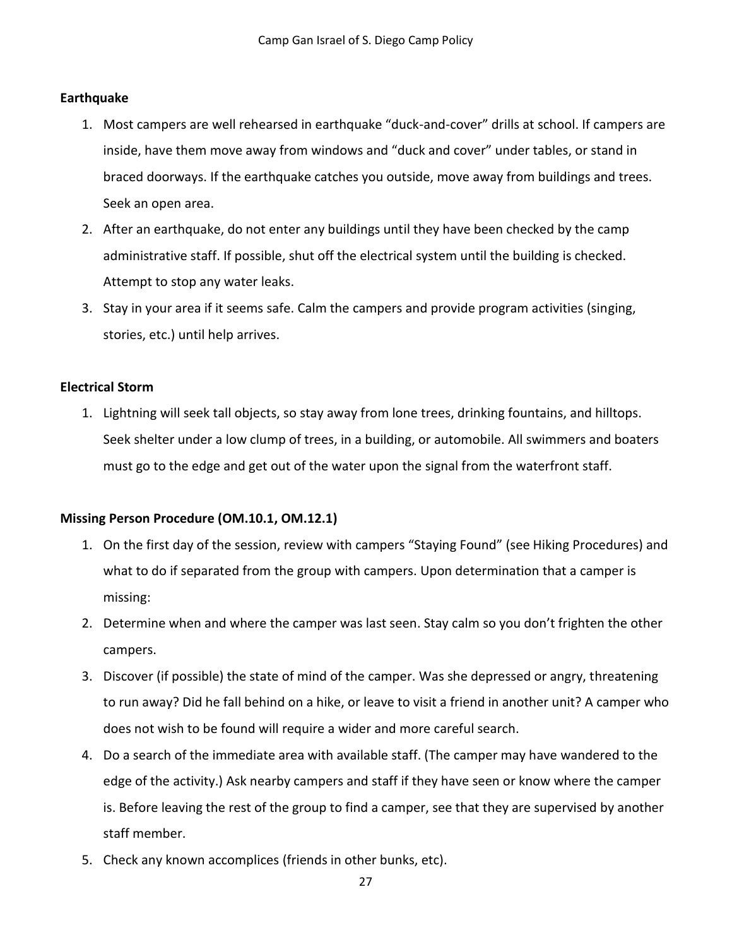## **Earthquake**

- 1. Most campers are well rehearsed in earthquake "duck-and-cover" drills at school. If campers are inside, have them move away from windows and "duck and cover" under tables, or stand in braced doorways. If the earthquake catches you outside, move away from buildings and trees. Seek an open area.
- 2. After an earthquake, do not enter any buildings until they have been checked by the camp administrative staff. If possible, shut off the electrical system until the building is checked. Attempt to stop any water leaks.
- 3. Stay in your area if it seems safe. Calm the campers and provide program activities (singing, stories, etc.) until help arrives.

## **Electrical Storm**

1. Lightning will seek tall objects, so stay away from lone trees, drinking fountains, and hilltops. Seek shelter under a low clump of trees, in a building, or automobile. All swimmers and boaters must go to the edge and get out of the water upon the signal from the waterfront staff.

## **Missing Person Procedure (OM.10.1, OM.12.1)**

- 1. On the first day of the session, review with campers "Staying Found" (see Hiking Procedures) and what to do if separated from the group with campers. Upon determination that a camper is missing:
- 2. Determine when and where the camper was last seen. Stay calm so you don't frighten the other campers.
- 3. Discover (if possible) the state of mind of the camper. Was she depressed or angry, threatening to run away? Did he fall behind on a hike, or leave to visit a friend in another unit? A camper who does not wish to be found will require a wider and more careful search.
- 4. Do a search of the immediate area with available staff. (The camper may have wandered to the edge of the activity.) Ask nearby campers and staff if they have seen or know where the camper is. Before leaving the rest of the group to find a camper, see that they are supervised by another staff member.
- 5. Check any known accomplices (friends in other bunks, etc).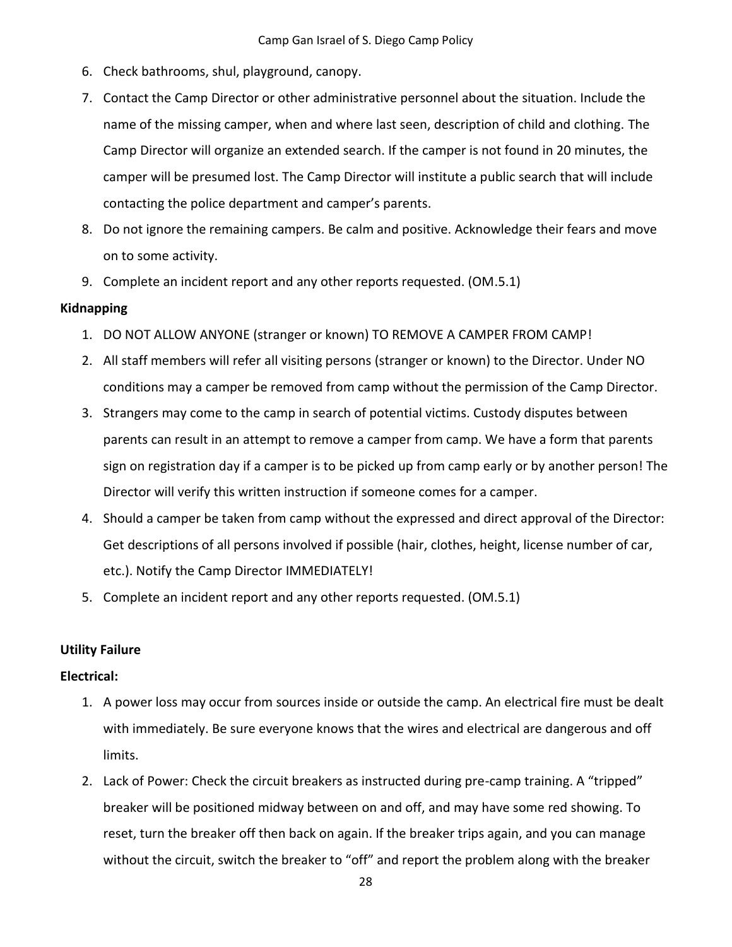- 6. Check bathrooms, shul, playground, canopy.
- 7. Contact the Camp Director or other administrative personnel about the situation. Include the name of the missing camper, when and where last seen, description of child and clothing. The Camp Director will organize an extended search. If the camper is not found in 20 minutes, the camper will be presumed lost. The Camp Director will institute a public search that will include contacting the police department and camper's parents.
- 8. Do not ignore the remaining campers. Be calm and positive. Acknowledge their fears and move on to some activity.
- 9. Complete an incident report and any other reports requested. (OM.5.1)

## **Kidnapping**

- 1. DO NOT ALLOW ANYONE (stranger or known) TO REMOVE A CAMPER FROM CAMP!
- 2. All staff members will refer all visiting persons (stranger or known) to the Director. Under NO conditions may a camper be removed from camp without the permission of the Camp Director.
- 3. Strangers may come to the camp in search of potential victims. Custody disputes between parents can result in an attempt to remove a camper from camp. We have a form that parents sign on registration day if a camper is to be picked up from camp early or by another person! The Director will verify this written instruction if someone comes for a camper.
- 4. Should a camper be taken from camp without the expressed and direct approval of the Director: Get descriptions of all persons involved if possible (hair, clothes, height, license number of car, etc.). Notify the Camp Director IMMEDIATELY!
- 5. Complete an incident report and any other reports requested. (OM.5.1)

## **Utility Failure**

#### **Electrical:**

- 1. A power loss may occur from sources inside or outside the camp. An electrical fire must be dealt with immediately. Be sure everyone knows that the wires and electrical are dangerous and off limits.
- 2. Lack of Power: Check the circuit breakers as instructed during pre-camp training. A "tripped" breaker will be positioned midway between on and off, and may have some red showing. To reset, turn the breaker off then back on again. If the breaker trips again, and you can manage without the circuit, switch the breaker to "off" and report the problem along with the breaker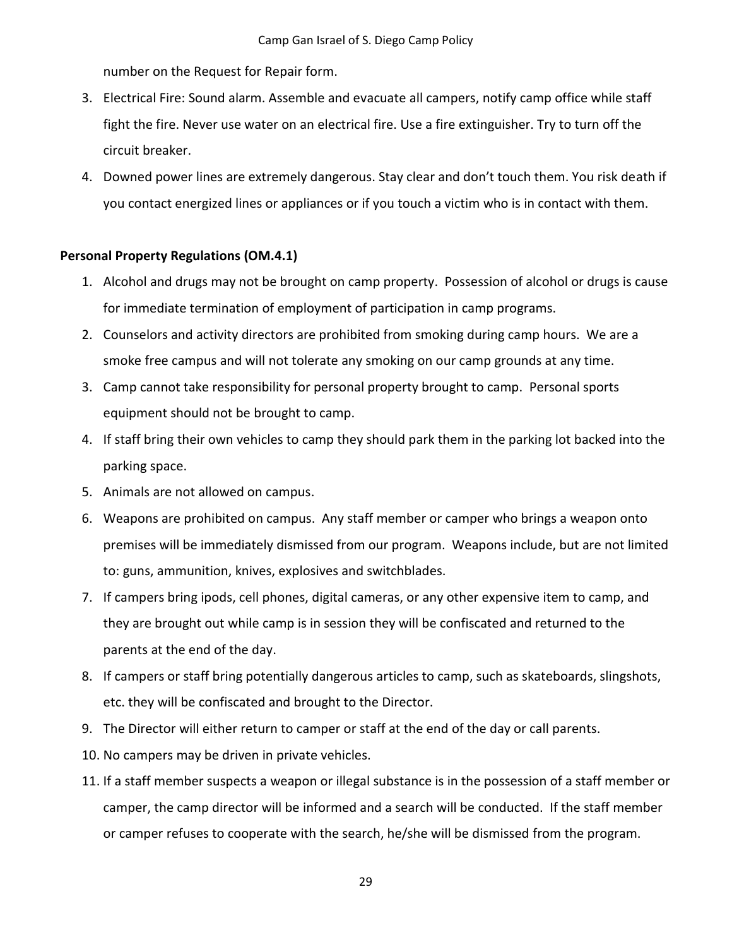number on the Request for Repair form.

- 3. Electrical Fire: Sound alarm. Assemble and evacuate all campers, notify camp office while staff fight the fire. Never use water on an electrical fire. Use a fire extinguisher. Try to turn off the circuit breaker.
- 4. Downed power lines are extremely dangerous. Stay clear and don't touch them. You risk death if you contact energized lines or appliances or if you touch a victim who is in contact with them.

## **Personal Property Regulations (OM.4.1)**

- 1. Alcohol and drugs may not be brought on camp property. Possession of alcohol or drugs is cause for immediate termination of employment of participation in camp programs.
- 2. Counselors and activity directors are prohibited from smoking during camp hours. We are a smoke free campus and will not tolerate any smoking on our camp grounds at any time.
- 3. Camp cannot take responsibility for personal property brought to camp. Personal sports equipment should not be brought to camp.
- 4. If staff bring their own vehicles to camp they should park them in the parking lot backed into the parking space.
- 5. Animals are not allowed on campus.
- 6. Weapons are prohibited on campus. Any staff member or camper who brings a weapon onto premises will be immediately dismissed from our program. Weapons include, but are not limited to: guns, ammunition, knives, explosives and switchblades.
- 7. If campers bring ipods, cell phones, digital cameras, or any other expensive item to camp, and they are brought out while camp is in session they will be confiscated and returned to the parents at the end of the day.
- 8. If campers or staff bring potentially dangerous articles to camp, such as skateboards, slingshots, etc. they will be confiscated and brought to the Director.
- 9. The Director will either return to camper or staff at the end of the day or call parents.
- 10. No campers may be driven in private vehicles.
- 11. If a staff member suspects a weapon or illegal substance is in the possession of a staff member or camper, the camp director will be informed and a search will be conducted. If the staff member or camper refuses to cooperate with the search, he/she will be dismissed from the program.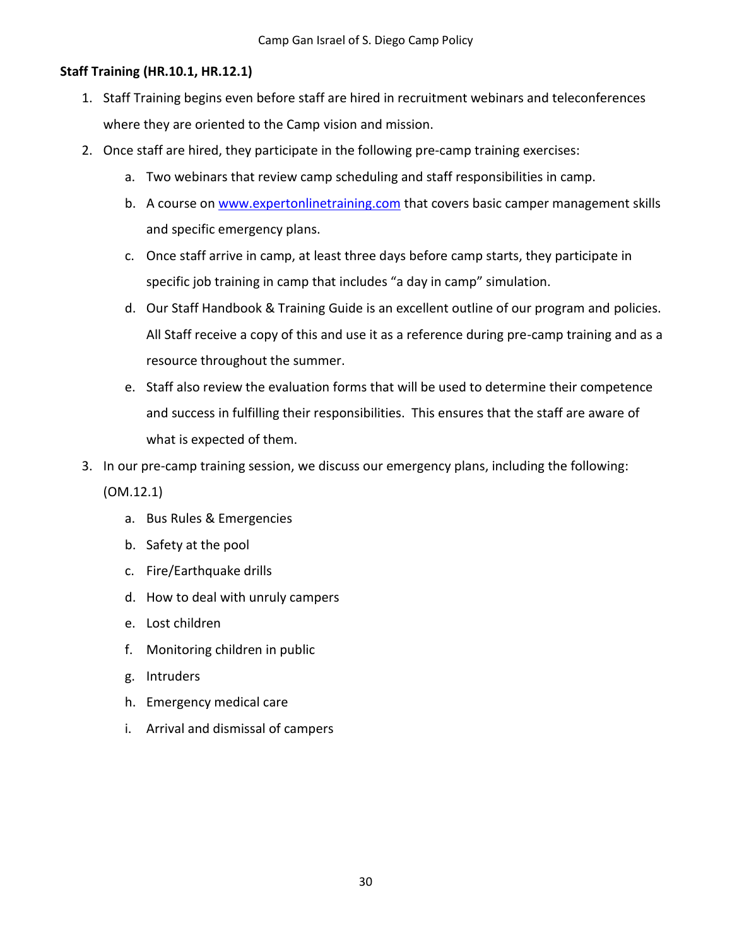# **Staff Training (HR.10.1, HR.12.1)**

- 1. Staff Training begins even before staff are hired in recruitment webinars and teleconferences where they are oriented to the Camp vision and mission.
- 2. Once staff are hired, they participate in the following pre-camp training exercises:
	- a. Two webinars that review camp scheduling and staff responsibilities in camp.
	- b. A course o[n www.expertonlinetraining.com](http://www.expertonlinetraining.com/) that covers basic camper management skills and specific emergency plans.
	- c. Once staff arrive in camp, at least three days before camp starts, they participate in specific job training in camp that includes "a day in camp" simulation.
	- d. Our Staff Handbook & Training Guide is an excellent outline of our program and policies. All Staff receive a copy of this and use it as a reference during pre-camp training and as a resource throughout the summer.
	- e. Staff also review the evaluation forms that will be used to determine their competence and success in fulfilling their responsibilities. This ensures that the staff are aware of what is expected of them.
- 3. In our pre-camp training session, we discuss our emergency plans, including the following:

(OM.12.1)

- a. Bus Rules & Emergencies
- b. Safety at the pool
- c. Fire/Earthquake drills
- d. How to deal with unruly campers
- e. Lost children
- f. Monitoring children in public
- g. Intruders
- h. Emergency medical care
- i. Arrival and dismissal of campers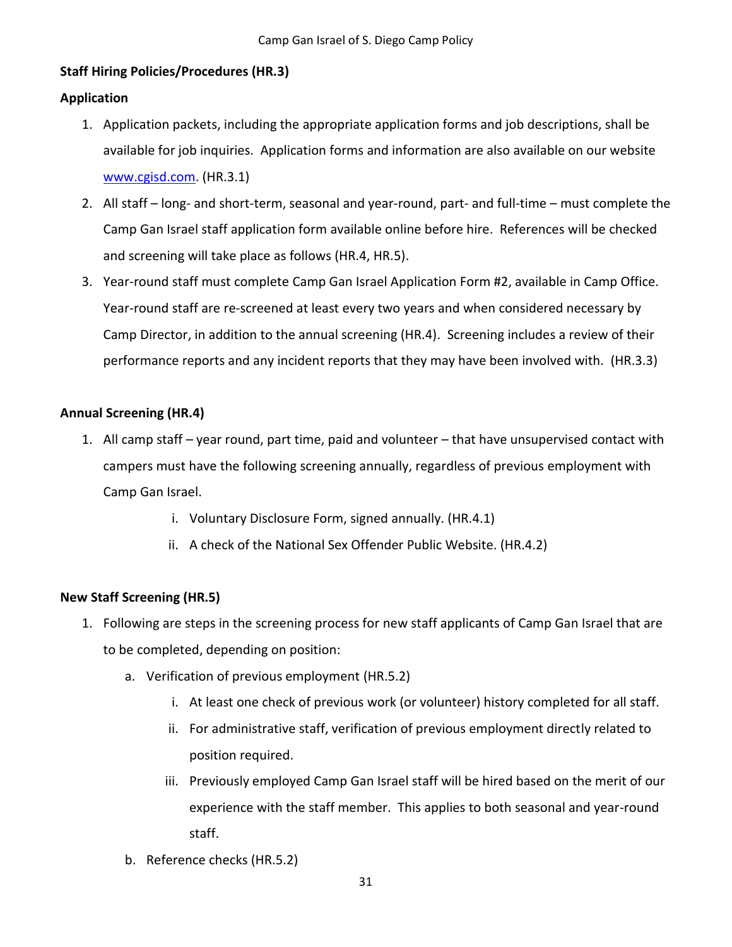# **Staff Hiring Policies/Procedures (HR.3)**

# **Application**

- 1. Application packets, including the appropriate application forms and job descriptions, shall be available for job inquiries. Application forms and information are also available on our website [www.cgisd.com.](http://www.cgisd.com/) (HR.3.1)
- 2. All staff long- and short-term, seasonal and year-round, part- and full-time must complete the Camp Gan Israel staff application form available online before hire. References will be checked and screening will take place as follows (HR.4, HR.5).
- 3. Year-round staff must complete Camp Gan Israel Application Form #2, available in Camp Office. Year-round staff are re-screened at least every two years and when considered necessary by Camp Director, in addition to the annual screening (HR.4). Screening includes a review of their performance reports and any incident reports that they may have been involved with. (HR.3.3)

# **Annual Screening (HR.4)**

- 1. All camp staff year round, part time, paid and volunteer that have unsupervised contact with campers must have the following screening annually, regardless of previous employment with Camp Gan Israel.
	- i. Voluntary Disclosure Form, signed annually. (HR.4.1)
	- ii. A check of the National Sex Offender Public Website. (HR.4.2)

# **New Staff Screening (HR.5)**

- 1. Following are steps in the screening process for new staff applicants of Camp Gan Israel that are to be completed, depending on position:
	- a. Verification of previous employment (HR.5.2)
		- i. At least one check of previous work (or volunteer) history completed for all staff.
		- ii. For administrative staff, verification of previous employment directly related to position required.
		- iii. Previously employed Camp Gan Israel staff will be hired based on the merit of our experience with the staff member. This applies to both seasonal and year-round staff.
	- b. Reference checks (HR.5.2)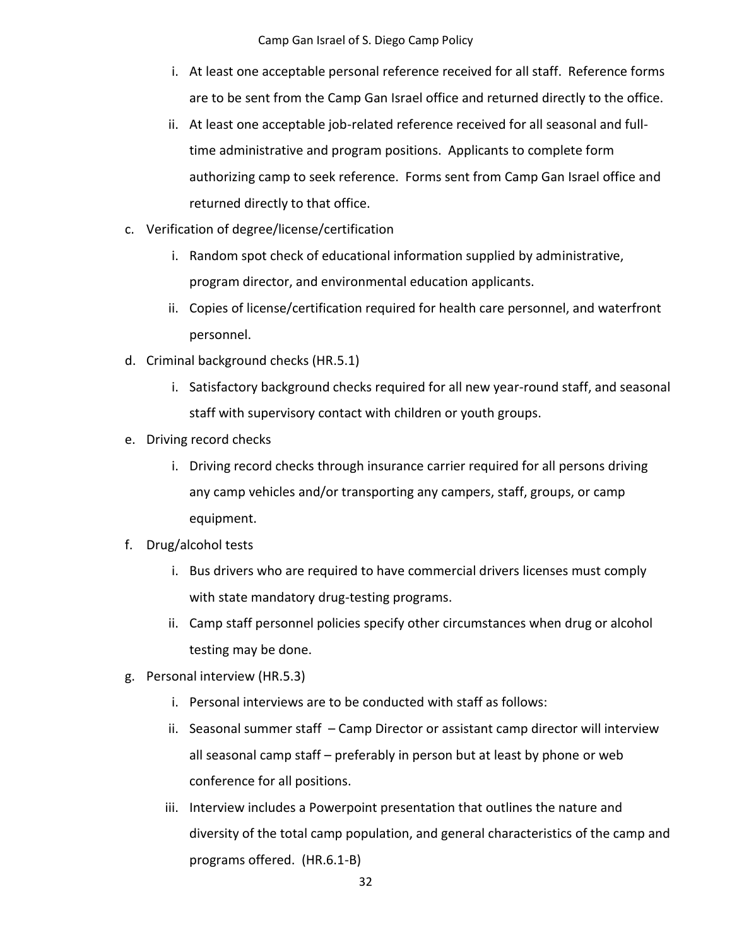Camp Gan Israel of S. Diego Camp Policy

- i. At least one acceptable personal reference received for all staff. Reference forms are to be sent from the Camp Gan Israel office and returned directly to the office.
- ii. At least one acceptable job-related reference received for all seasonal and fulltime administrative and program positions. Applicants to complete form authorizing camp to seek reference. Forms sent from Camp Gan Israel office and returned directly to that office.
- c. Verification of degree/license/certification
	- i. Random spot check of educational information supplied by administrative, program director, and environmental education applicants.
	- ii. Copies of license/certification required for health care personnel, and waterfront personnel.
- d. Criminal background checks (HR.5.1)
	- i. Satisfactory background checks required for all new year-round staff, and seasonal staff with supervisory contact with children or youth groups.
- e. Driving record checks
	- i. Driving record checks through insurance carrier required for all persons driving any camp vehicles and/or transporting any campers, staff, groups, or camp equipment.
- f. Drug/alcohol tests
	- i. Bus drivers who are required to have commercial drivers licenses must comply with state mandatory drug-testing programs.
	- ii. Camp staff personnel policies specify other circumstances when drug or alcohol testing may be done.
- g. Personal interview (HR.5.3)
	- i. Personal interviews are to be conducted with staff as follows:
	- ii. Seasonal summer staff Camp Director or assistant camp director will interview all seasonal camp staff – preferably in person but at least by phone or web conference for all positions.
	- iii. Interview includes a Powerpoint presentation that outlines the nature and diversity of the total camp population, and general characteristics of the camp and programs offered. (HR.6.1-B)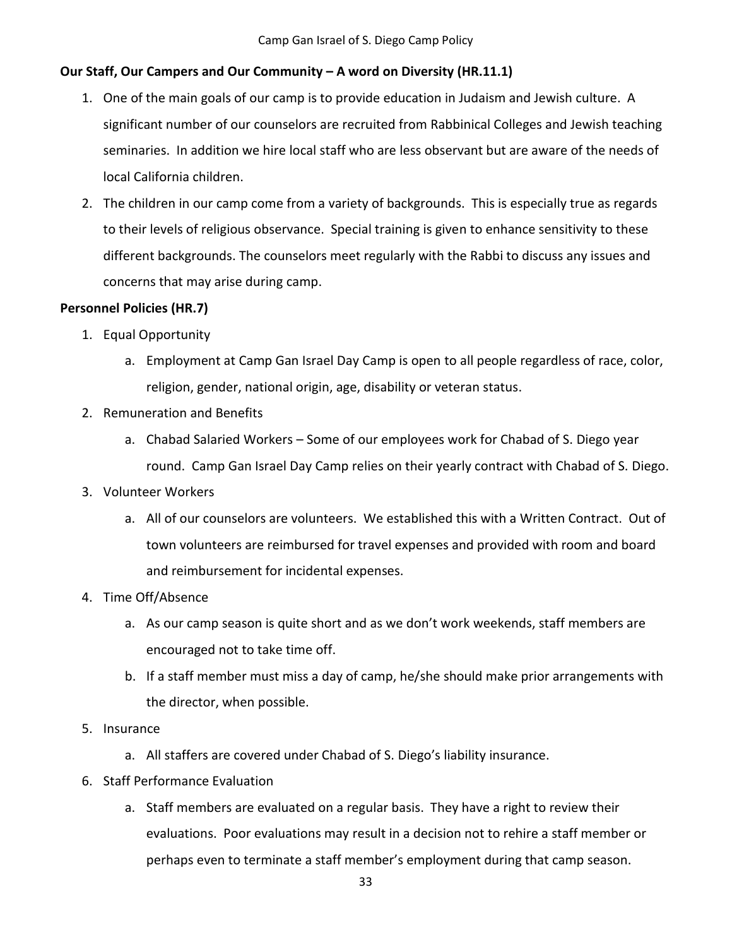# **Our Staff, Our Campers and Our Community – A word on Diversity (HR.11.1)**

- 1. One of the main goals of our camp is to provide education in Judaism and Jewish culture. A significant number of our counselors are recruited from Rabbinical Colleges and Jewish teaching seminaries. In addition we hire local staff who are less observant but are aware of the needs of local California children.
- 2. The children in our camp come from a variety of backgrounds. This is especially true as regards to their levels of religious observance. Special training is given to enhance sensitivity to these different backgrounds. The counselors meet regularly with the Rabbi to discuss any issues and concerns that may arise during camp.

## **Personnel Policies (HR.7)**

- 1. Equal Opportunity
	- a. Employment at Camp Gan Israel Day Camp is open to all people regardless of race, color, religion, gender, national origin, age, disability or veteran status.
- 2. Remuneration and Benefits
	- a. Chabad Salaried Workers Some of our employees work for Chabad of S. Diego year round. Camp Gan Israel Day Camp relies on their yearly contract with Chabad of S. Diego.
- 3. Volunteer Workers
	- a. All of our counselors are volunteers. We established this with a Written Contract. Out of town volunteers are reimbursed for travel expenses and provided with room and board and reimbursement for incidental expenses.
- 4. Time Off/Absence
	- a. As our camp season is quite short and as we don't work weekends, staff members are encouraged not to take time off.
	- b. If a staff member must miss a day of camp, he/she should make prior arrangements with the director, when possible.

## 5. Insurance

- a. All staffers are covered under Chabad of S. Diego's liability insurance.
- 6. Staff Performance Evaluation
	- a. Staff members are evaluated on a regular basis. They have a right to review their evaluations. Poor evaluations may result in a decision not to rehire a staff member or perhaps even to terminate a staff member's employment during that camp season.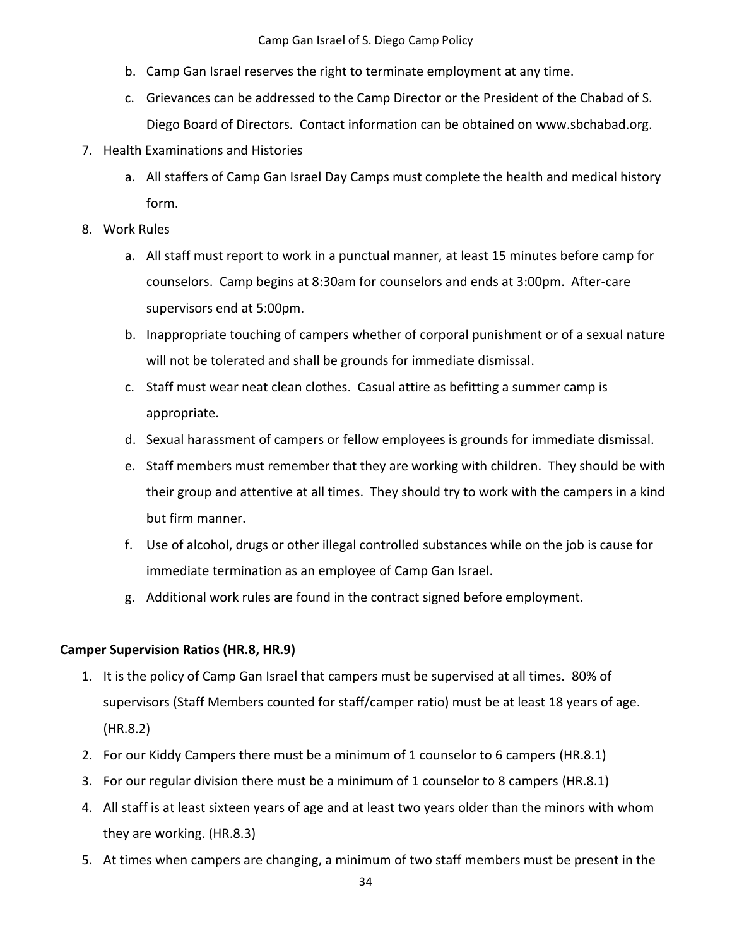- b. Camp Gan Israel reserves the right to terminate employment at any time.
- c. Grievances can be addressed to the Camp Director or the President of the Chabad of S. Diego Board of Directors. Contact information can be obtained on www.sbchabad.org.
- 7. Health Examinations and Histories
	- a. All staffers of Camp Gan Israel Day Camps must complete the health and medical history form.
- 8. Work Rules
	- a. All staff must report to work in a punctual manner, at least 15 minutes before camp for counselors. Camp begins at 8:30am for counselors and ends at 3:00pm. After-care supervisors end at 5:00pm.
	- b. Inappropriate touching of campers whether of corporal punishment or of a sexual nature will not be tolerated and shall be grounds for immediate dismissal.
	- c. Staff must wear neat clean clothes. Casual attire as befitting a summer camp is appropriate.
	- d. Sexual harassment of campers or fellow employees is grounds for immediate dismissal.
	- e. Staff members must remember that they are working with children. They should be with their group and attentive at all times. They should try to work with the campers in a kind but firm manner.
	- f. Use of alcohol, drugs or other illegal controlled substances while on the job is cause for immediate termination as an employee of Camp Gan Israel.
	- g. Additional work rules are found in the contract signed before employment.

# **Camper Supervision Ratios (HR.8, HR.9)**

- 1. It is the policy of Camp Gan Israel that campers must be supervised at all times. 80% of supervisors (Staff Members counted for staff/camper ratio) must be at least 18 years of age. (HR.8.2)
- 2. For our Kiddy Campers there must be a minimum of 1 counselor to 6 campers (HR.8.1)
- 3. For our regular division there must be a minimum of 1 counselor to 8 campers (HR.8.1)
- 4. All staff is at least sixteen years of age and at least two years older than the minors with whom they are working. (HR.8.3)
- 5. At times when campers are changing, a minimum of two staff members must be present in the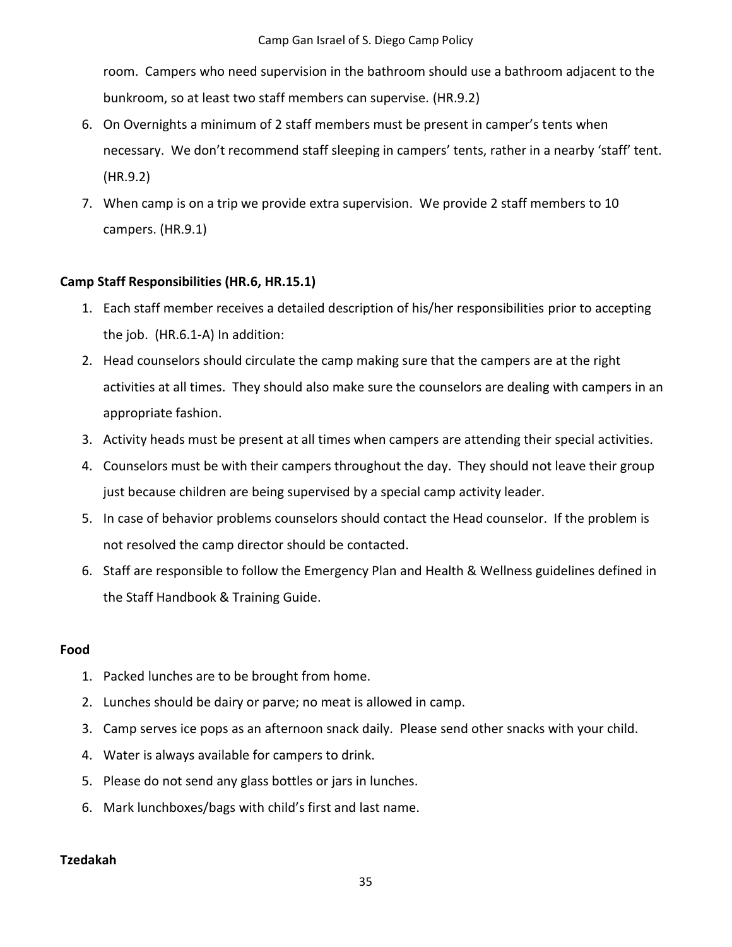room. Campers who need supervision in the bathroom should use a bathroom adjacent to the bunkroom, so at least two staff members can supervise. (HR.9.2)

- 6. On Overnights a minimum of 2 staff members must be present in camper's tents when necessary. We don't recommend staff sleeping in campers' tents, rather in a nearby 'staff' tent. (HR.9.2)
- 7. When camp is on a trip we provide extra supervision. We provide 2 staff members to 10 campers. (HR.9.1)

# **Camp Staff Responsibilities (HR.6, HR.15.1)**

- 1. Each staff member receives a detailed description of his/her responsibilities prior to accepting the job. (HR.6.1-A) In addition:
- 2. Head counselors should circulate the camp making sure that the campers are at the right activities at all times. They should also make sure the counselors are dealing with campers in an appropriate fashion.
- 3. Activity heads must be present at all times when campers are attending their special activities.
- 4. Counselors must be with their campers throughout the day. They should not leave their group just because children are being supervised by a special camp activity leader.
- 5. In case of behavior problems counselors should contact the Head counselor. If the problem is not resolved the camp director should be contacted.
- 6. Staff are responsible to follow the Emergency Plan and Health & Wellness guidelines defined in the Staff Handbook & Training Guide.

# **Food**

- 1. Packed lunches are to be brought from home.
- 2. Lunches should be dairy or parve; no meat is allowed in camp.
- 3. Camp serves ice pops as an afternoon snack daily. Please send other snacks with your child.
- 4. Water is always available for campers to drink.
- 5. Please do not send any glass bottles or jars in lunches.
- 6. Mark lunchboxes/bags with child's first and last name.

# **Tzedakah**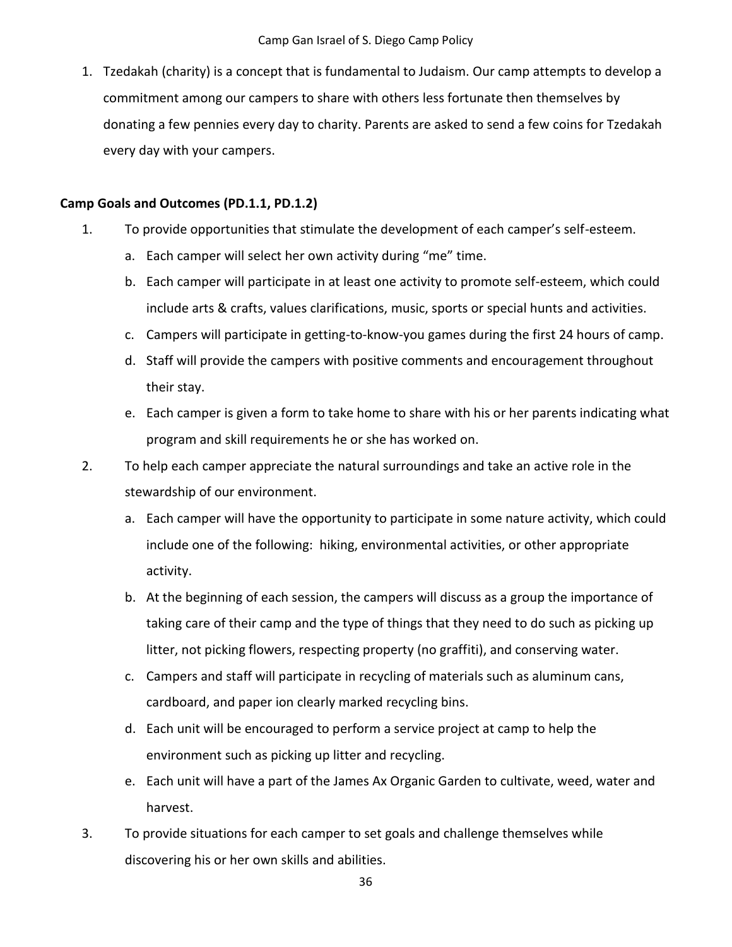1. Tzedakah (charity) is a concept that is fundamental to Judaism. Our camp attempts to develop a commitment among our campers to share with others less fortunate then themselves by donating a few pennies every day to charity. Parents are asked to send a few coins for Tzedakah every day with your campers.

## **Camp Goals and Outcomes (PD.1.1, PD.1.2)**

- 1. To provide opportunities that stimulate the development of each camper's self-esteem.
	- a. Each camper will select her own activity during "me" time.
	- b. Each camper will participate in at least one activity to promote self-esteem, which could include arts & crafts, values clarifications, music, sports or special hunts and activities.
	- c. Campers will participate in getting-to-know-you games during the first 24 hours of camp.
	- d. Staff will provide the campers with positive comments and encouragement throughout their stay.
	- e. Each camper is given a form to take home to share with his or her parents indicating what program and skill requirements he or she has worked on.
- 2. To help each camper appreciate the natural surroundings and take an active role in the stewardship of our environment.
	- a. Each camper will have the opportunity to participate in some nature activity, which could include one of the following: hiking, environmental activities, or other appropriate activity.
	- b. At the beginning of each session, the campers will discuss as a group the importance of taking care of their camp and the type of things that they need to do such as picking up litter, not picking flowers, respecting property (no graffiti), and conserving water.
	- c. Campers and staff will participate in recycling of materials such as aluminum cans, cardboard, and paper ion clearly marked recycling bins.
	- d. Each unit will be encouraged to perform a service project at camp to help the environment such as picking up litter and recycling.
	- e. Each unit will have a part of the James Ax Organic Garden to cultivate, weed, water and harvest.
- 3. To provide situations for each camper to set goals and challenge themselves while discovering his or her own skills and abilities.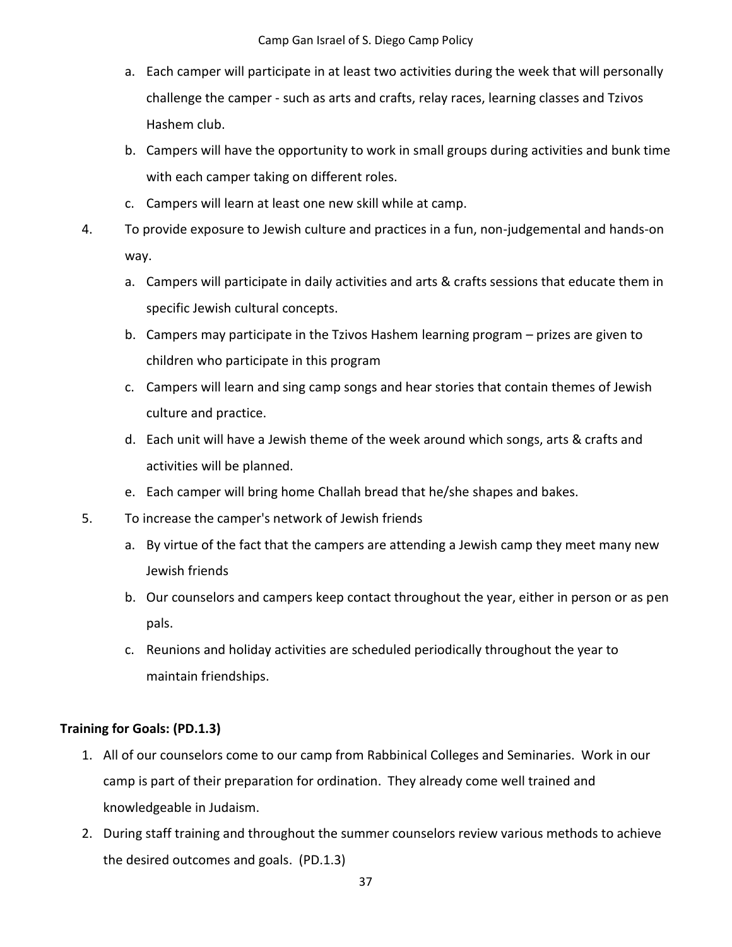- a. Each camper will participate in at least two activities during the week that will personally challenge the camper - such as arts and crafts, relay races, learning classes and Tzivos Hashem club.
- b. Campers will have the opportunity to work in small groups during activities and bunk time with each camper taking on different roles.
- c. Campers will learn at least one new skill while at camp.
- 4. To provide exposure to Jewish culture and practices in a fun, non-judgemental and hands-on way.
	- a. Campers will participate in daily activities and arts & crafts sessions that educate them in specific Jewish cultural concepts.
	- b. Campers may participate in the Tzivos Hashem learning program prizes are given to children who participate in this program
	- c. Campers will learn and sing camp songs and hear stories that contain themes of Jewish culture and practice.
	- d. Each unit will have a Jewish theme of the week around which songs, arts & crafts and activities will be planned.
	- e. Each camper will bring home Challah bread that he/she shapes and bakes.
- 5. To increase the camper's network of Jewish friends
	- a. By virtue of the fact that the campers are attending a Jewish camp they meet many new Jewish friends
	- b. Our counselors and campers keep contact throughout the year, either in person or as pen pals.
	- c. Reunions and holiday activities are scheduled periodically throughout the year to maintain friendships.

## **Training for Goals: (PD.1.3)**

- 1. All of our counselors come to our camp from Rabbinical Colleges and Seminaries. Work in our camp is part of their preparation for ordination. They already come well trained and knowledgeable in Judaism.
- 2. During staff training and throughout the summer counselors review various methods to achieve the desired outcomes and goals. (PD.1.3)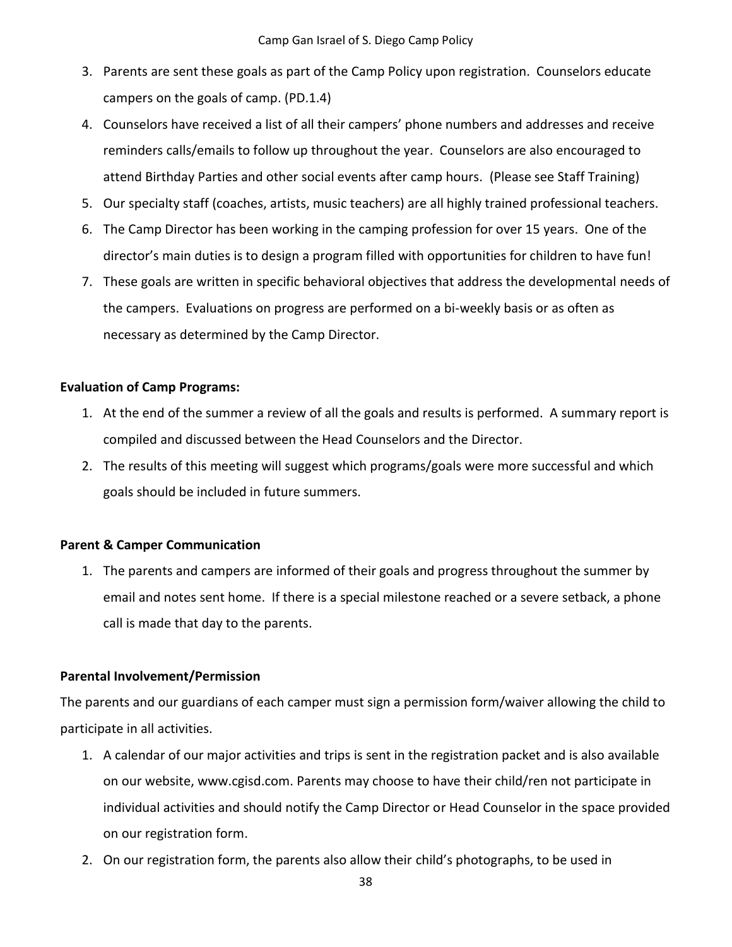- 3. Parents are sent these goals as part of the Camp Policy upon registration. Counselors educate campers on the goals of camp. (PD.1.4)
- 4. Counselors have received a list of all their campers' phone numbers and addresses and receive reminders calls/emails to follow up throughout the year. Counselors are also encouraged to attend Birthday Parties and other social events after camp hours. (Please see Staff Training)
- 5. Our specialty staff (coaches, artists, music teachers) are all highly trained professional teachers.
- 6. The Camp Director has been working in the camping profession for over 15 years. One of the director's main duties is to design a program filled with opportunities for children to have fun!
- 7. These goals are written in specific behavioral objectives that address the developmental needs of the campers. Evaluations on progress are performed on a bi-weekly basis or as often as necessary as determined by the Camp Director.

# **Evaluation of Camp Programs:**

- 1. At the end of the summer a review of all the goals and results is performed. A summary report is compiled and discussed between the Head Counselors and the Director.
- 2. The results of this meeting will suggest which programs/goals were more successful and which goals should be included in future summers.

# **Parent & Camper Communication**

1. The parents and campers are informed of their goals and progress throughout the summer by email and notes sent home. If there is a special milestone reached or a severe setback, a phone call is made that day to the parents.

# **Parental Involvement/Permission**

The parents and our guardians of each camper must sign a permission form/waiver allowing the child to participate in all activities.

- 1. A calendar of our major activities and trips is sent in the registration packet and is also available on our website, www.cgisd.com. Parents may choose to have their child/ren not participate in individual activities and should notify the Camp Director or Head Counselor in the space provided on our registration form.
- 2. On our registration form, the parents also allow their child's photographs, to be used in